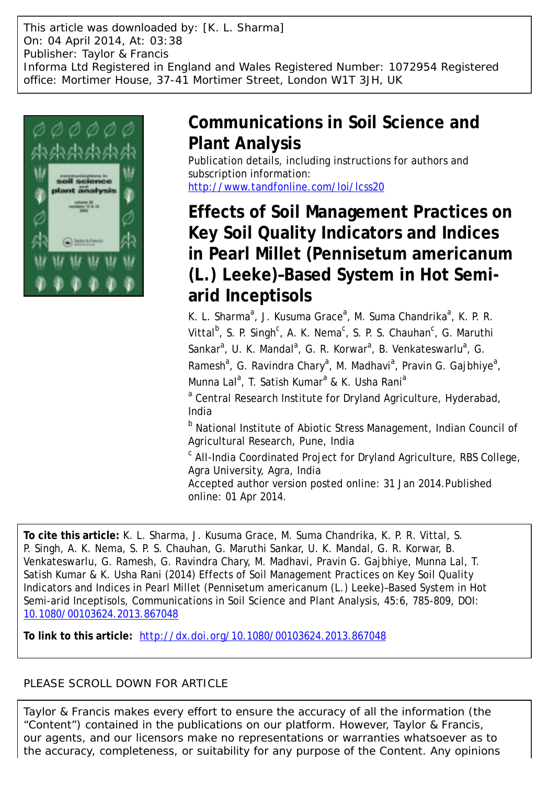This article was downloaded by: [K. L. Sharma] On: 04 April 2014, At: 03:38 Publisher: Taylor & Francis Informa Ltd Registered in England and Wales Registered Number: 1072954 Registered office: Mortimer House, 37-41 Mortimer Street, London W1T 3JH, UK



# **Communications in Soil Science and Plant Analysis**

Publication details, including instructions for authors and subscription information: <http://www.tandfonline.com/loi/lcss20>

# **Effects of Soil Management Practices on Key Soil Quality Indicators and Indices in Pearl Millet (Pennisetum americanum (L.) Leeke)–Based System in Hot Semiarid Inceptisols**

K. L. Sharma<sup>a</sup>, J. Kusuma Grace<sup>a</sup>, M. Suma Chandrika<sup>a</sup>, K. P. R. Vittal<sup>b</sup>, S. P. Singh<sup>c</sup>, A. K. Nema<sup>c</sup>, S. P. S. Chauhan<sup>c</sup>, G. Maruthi Sankar<sup>a</sup>, U. K. Mandal<sup>a</sup>, G. R. Korwar<sup>a</sup>, B. Venkateswarlu<sup>a</sup>, G. Ramesh<sup>a</sup>, G. Ravindra Chary<sup>a</sup>, M. Madhavi<sup>a</sup>, Pravin G. Gajbhiye<sup>a</sup>, Munna Lal<sup>a</sup>, T. Satish Kumar<sup>a</sup> & K. Usha Rani<sup>a</sup>

<sup>a</sup> Central Research Institute for Dryland Agriculture, Hyderabad, India

<sup>b</sup> National Institute of Abiotic Stress Management, Indian Council of Agricultural Research, Pune, India

<sup>c</sup> All-India Coordinated Project for Dryland Agriculture, RBS College, Agra University, Agra, India

Accepted author version posted online: 31 Jan 2014.Published online: 01 Apr 2014.

**To cite this article:** K. L. Sharma, J. Kusuma Grace, M. Suma Chandrika, K. P. R. Vittal, S. P. Singh, A. K. Nema, S. P. S. Chauhan, G. Maruthi Sankar, U. K. Mandal, G. R. Korwar, B. Venkateswarlu, G. Ramesh, G. Ravindra Chary, M. Madhavi, Pravin G. Gajbhiye, Munna Lal, T. Satish Kumar & K. Usha Rani (2014) Effects of Soil Management Practices on Key Soil Quality Indicators and Indices in Pearl Millet (Pennisetum americanum (L.) Leeke)–Based System in Hot Semi-arid Inceptisols, Communications in Soil Science and Plant Analysis, 45:6, 785-809, DOI: [10.1080/00103624.2013.867048](http://www.tandfonline.com/action/showCitFormats?doi=10.1080/00103624.2013.867048)

**To link to this article:** <http://dx.doi.org/10.1080/00103624.2013.867048>

# PLEASE SCROLL DOWN FOR ARTICLE

Taylor & Francis makes every effort to ensure the accuracy of all the information (the "Content") contained in the publications on our platform. However, Taylor & Francis, our agents, and our licensors make no representations or warranties whatsoever as to the accuracy, completeness, or suitability for any purpose of the Content. Any opinions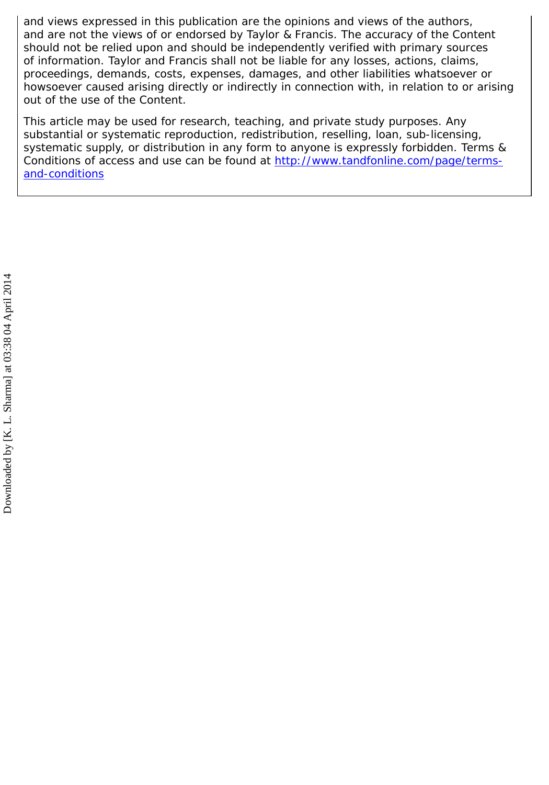and views expressed in this publication are the opinions and views of the authors, and are not the views of or endorsed by Taylor & Francis. The accuracy of the Content should not be relied upon and should be independently verified with primary sources of information. Taylor and Francis shall not be liable for any losses, actions, claims, proceedings, demands, costs, expenses, damages, and other liabilities whatsoever or howsoever caused arising directly or indirectly in connection with, in relation to or arising out of the use of the Content.

This article may be used for research, teaching, and private study purposes. Any substantial or systematic reproduction, redistribution, reselling, loan, sub-licensing, systematic supply, or distribution in any form to anyone is expressly forbidden. Terms & Conditions of access and use can be found at [http://www.tandfonline.com/page/terms](http://www.tandfonline.com/page/terms-and-conditions)[and-conditions](http://www.tandfonline.com/page/terms-and-conditions)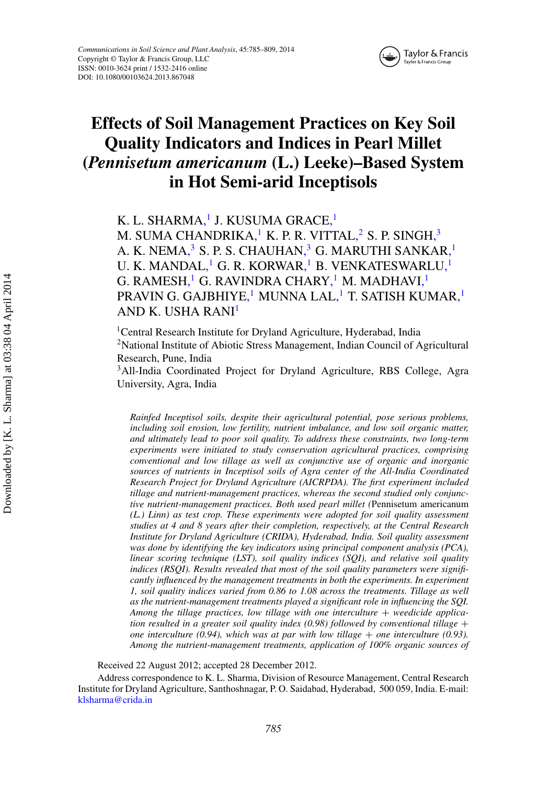

# **Effects of Soil Management Practices on Key Soil Quality Indicators and Indices in Pearl Millet (***Pennisetum americanum* **(L.) Leeke)–Based System in Hot Semi-arid Inceptisols**

<span id="page-2-0"></span>K. L. SHARM[A,](#page-2-0)<sup>1</sup> J. KUSUMA GRAC[E,](#page-2-0)<sup>1</sup>

M. SUMA CHANDRIK[A,](#page-2-0)<sup>1</sup> K. P. R. VITTA[L,](#page-2-0)<sup>2</sup> S. P. SING[H,](#page-2-0)<sup>3</sup> A. K. NEM[A,](#page-2-0) $^3$  S. P. S. CHAUHA[N,](#page-2-0) $^3$  G. MARUTHI SANKA[R,](#page-2-0) $^1$ U. K. MANDA[L,](#page-2-0)<sup>1</sup> G. R. KORWA[R,](#page-2-0)<sup>1</sup> B. VENKATESWARL[U,](#page-2-0)<sup>1</sup> G. RAMES[H,](#page-2-0)<sup>1</sup> G. RAVINDRA CHAR[Y,](#page-2-0)<sup>1</sup> M. MADHAV[I,](#page-2-0)<sup>1</sup> PRAVIN G. GAJBHIY[E,](#page-2-0)<sup>1</sup> MUNNA LA[L,](#page-2-0)<sup>1</sup> T. SATISH KUMA[R,](#page-2-0)<sup>1</sup> AND K. USHA RANI[1](#page-2-0)

<sup>1</sup>Central Research Institute for Dryland Agriculture, Hyderabad, India <sup>2</sup>National Institute of Abiotic Stress Management, Indian Council of Agricultural Research, Pune, India

<sup>3</sup>All-India Coordinated Project for Dryland Agriculture, RBS College, Agra University, Agra, India

*Rainfed Inceptisol soils, despite their agricultural potential, pose serious problems, including soil erosion, low fertility, nutrient imbalance, and low soil organic matter, and ultimately lead to poor soil quality. To address these constraints, two long-term experiments were initiated to study conservation agricultural practices, comprising conventional and low tillage as well as conjunctive use of organic and inorganic sources of nutrients in Inceptisol soils of Agra center of the All-India Coordinated Research Project for Dryland Agriculture (AICRPDA). The first experiment included tillage and nutrient-management practices, whereas the second studied only conjunctive nutrient-management practices. Both used pearl millet (*Pennisetum americanum *(L.) Linn) as test crop. These experiments were adopted for soil quality assessment studies at 4 and 8 years after their completion, respectively, at the Central Research Institute for Dryland Agriculture (CRIDA), Hyderabad, India. Soil quality assessment was done by identifying the key indicators using principal component analysis (PCA), linear scoring technique (LST), soil quality indices (SQI), and relative soil quality indices (RSQI). Results revealed that most of the soil quality parameters were significantly influenced by the management treatments in both the experiments. In experiment 1, soil quality indices varied from 0.86 to 1.08 across the treatments. Tillage as well as the nutrient-management treatments played a significant role in influencing the SQI.* Among the tillage practices, low tillage with one interculture + weedicide applica*tion resulted in a greater soil quality index (0.98) followed by conventional tillage* + *one interculture (0.94), which was at par with low tillage* + *one interculture (0.93). Among the nutrient-management treatments, application of 100% organic sources of*

Received 22 August 2012; accepted 28 December 2012.

Address correspondence to K. L. Sharma, Division of Resource Management, Central Research Institute for Dryland Agriculture, Santhoshnagar, P. O. Saidabad, Hyderabad, 500 059, India. E-mail: [klsharma@crida.in](mailto:klsharma@crida.in)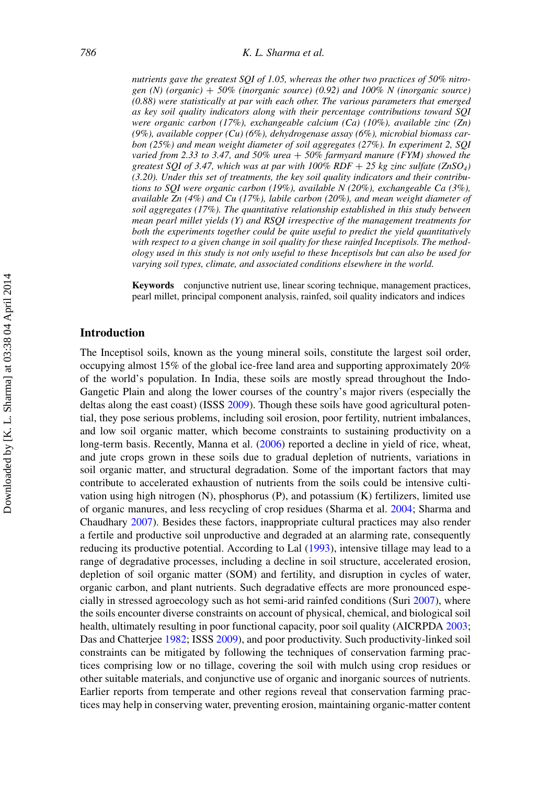*nutrients gave the greatest SQI of 1.05, whereas the other two practices of 50% nitrogen (N) (organic)* + *50% (inorganic source) (0.92) and 100% N (inorganic source) (0.88) were statistically at par with each other. The various parameters that emerged as key soil quality indicators along with their percentage contributions toward SQI were organic carbon (17%), exchangeable calcium (Ca) (10%), available zinc (Zn) (9%), available copper (Cu) (6%), dehydrogenase assay (6%), microbial biomass carbon (25%) and mean weight diameter of soil aggregates (27%). In experiment 2, SQI varied from 2.33 to 3.47, and 50% urea* + *50% farmyard manure (FYM) showed the greatest SQI of 3.47, which was at par with 100% RDF* + *25 kg zinc sulfate (ZnSO4) (3.20). Under this set of treatments, the key soil quality indicators and their contributions to SQI were organic carbon (19%), available N (20%), exchangeable Ca (3%), available Zn (4%) and Cu (17%), labile carbon (20%), and mean weight diameter of soil aggregates (17%). The quantitative relationship established in this study between mean pearl millet yields (Y) and RSQI irrespective of the management treatments for both the experiments together could be quite useful to predict the yield quantitatively with respect to a given change in soil quality for these rainfed Inceptisols. The methodology used in this study is not only useful to these Inceptisols but can also be used for varying soil types, climate, and associated conditions elsewhere in the world.*

**Keywords** conjunctive nutrient use, linear scoring technique, management practices, pearl millet, principal component analysis, rainfed, soil quality indicators and indices

# **Introduction**

The Inceptisol soils, known as the young mineral soils, constitute the largest soil order, occupying almost 15% of the global ice-free land area and supporting approximately 20% of the world's population. In India, these soils are mostly spread throughout the Indo-Gangetic Plain and along the lower courses of the country's major rivers (especially the deltas along the east coast) (ISSS [2009\)](#page-24-0). Though these soils have good agricultural potential, they pose serious problems, including soil erosion, poor fertility, nutrient imbalances, and low soil organic matter, which become constraints to sustaining productivity on a long-term basis. Recently, Manna et al. [\(2006\)](#page-24-1) reported a decline in yield of rice, wheat, and jute crops grown in these soils due to gradual depletion of nutrients, variations in soil organic matter, and structural degradation. Some of the important factors that may contribute to accelerated exhaustion of nutrients from the soils could be intensive cultivation using high nitrogen (N), phosphorus (P), and potassium (K) fertilizers, limited use of organic manures, and less recycling of crop residues (Sharma et al. [2004;](#page-25-0) Sharma and Chaudhary [2007\)](#page-25-1). Besides these factors, inappropriate cultural practices may also render a fertile and productive soil unproductive and degraded at an alarming rate, consequently reducing its productive potential. According to Lal [\(1993\)](#page-24-2), intensive tillage may lead to a range of degradative processes, including a decline in soil structure, accelerated erosion, depletion of soil organic matter (SOM) and fertility, and disruption in cycles of water, organic carbon, and plant nutrients. Such degradative effects are more pronounced especially in stressed agroecology such as hot semi-arid rainfed conditions (Suri [2007\)](#page-26-0), where the soils encounter diverse constraints on account of physical, chemical, and biological soil health, ultimately resulting in poor functional capacity, poor soil quality (AICRPDA [2003;](#page-23-0) Das and Chatterjee [1982;](#page-23-1) ISSS [2009\)](#page-24-0), and poor productivity. Such productivity-linked soil constraints can be mitigated by following the techniques of conservation farming practices comprising low or no tillage, covering the soil with mulch using crop residues or other suitable materials, and conjunctive use of organic and inorganic sources of nutrients. Earlier reports from temperate and other regions reveal that conservation farming practices may help in conserving water, preventing erosion, maintaining organic-matter content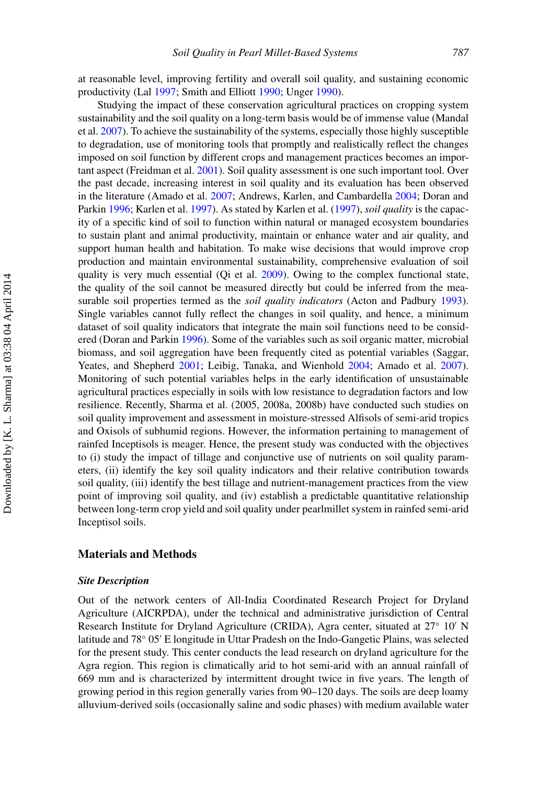at reasonable level, improving fertility and overall soil quality, and sustaining economic productivity (Lal [1997;](#page-24-3) Smith and Elliott [1990;](#page-25-2) Unger [1990\)](#page-26-1).

Studying the impact of these conservation agricultural practices on cropping system sustainability and the soil quality on a long-term basis would be of immense value (Mandal et al. [2007\)](#page-24-4). To achieve the sustainability of the systems, especially those highly susceptible to degradation, use of monitoring tools that promptly and realistically reflect the changes imposed on soil function by different crops and management practices becomes an important aspect (Freidman et al. [2001\)](#page-24-5). Soil quality assessment is one such important tool. Over the past decade, increasing interest in soil quality and its evaluation has been observed in the literature (Amado et al. [2007;](#page-23-2) Andrews, Karlen, and Cambardella [2004;](#page-23-3) Doran and Parkin [1996;](#page-23-4) Karlen et al. [1997\)](#page-24-6). As stated by Karlen et al. [\(1997\)](#page-24-6), *soil quality* is the capacity of a specific kind of soil to function within natural or managed ecosystem boundaries to sustain plant and animal productivity, maintain or enhance water and air quality, and support human health and habitation. To make wise decisions that would improve crop production and maintain environmental sustainability, comprehensive evaluation of soil quality is very much essential (Qi et al. [2009\)](#page-25-3). Owing to the complex functional state, the quality of the soil cannot be measured directly but could be inferred from the measurable soil properties termed as the *soil quality indicators* (Acton and Padbury [1993\)](#page-23-5). Single variables cannot fully reflect the changes in soil quality, and hence, a minimum dataset of soil quality indicators that integrate the main soil functions need to be considered (Doran and Parkin [1996\)](#page-23-4). Some of the variables such as soil organic matter, microbial biomass, and soil aggregation have been frequently cited as potential variables (Saggar, Yeates, and Shepherd [2001;](#page-25-4) Leibig, Tanaka, and Wienhold [2004;](#page-24-7) Amado et al. [2007\)](#page-23-2). Monitoring of such potential variables helps in the early identification of unsustainable agricultural practices especially in soils with low resistance to degradation factors and low resilience. Recently, Sharma et al. (2005, 2008a, 2008b) have conducted such studies on soil quality improvement and assessment in moisture-stressed Alfisols of semi-arid tropics and Oxisols of subhumid regions. However, the information pertaining to management of rainfed Inceptisols is meager. Hence, the present study was conducted with the objectives to (i) study the impact of tillage and conjunctive use of nutrients on soil quality parameters, (ii) identify the key soil quality indicators and their relative contribution towards soil quality, (iii) identify the best tillage and nutrient-management practices from the view point of improving soil quality, and (iv) establish a predictable quantitative relationship between long-term crop yield and soil quality under pearlmillet system in rainfed semi-arid Inceptisol soils.

#### **Materials and Methods**

#### *Site Description*

Out of the network centers of All-India Coordinated Research Project for Dryland Agriculture (AICRPDA), under the technical and administrative jurisdiction of Central Research Institute for Dryland Agriculture (CRIDA), Agra center, situated at 27◦ 10 N latitude and 78◦ 05 E longitude in Uttar Pradesh on the Indo-Gangetic Plains, was selected for the present study. This center conducts the lead research on dryland agriculture for the Agra region. This region is climatically arid to hot semi-arid with an annual rainfall of 669 mm and is characterized by intermittent drought twice in five years. The length of growing period in this region generally varies from 90–120 days. The soils are deep loamy alluvium-derived soils (occasionally saline and sodic phases) with medium available water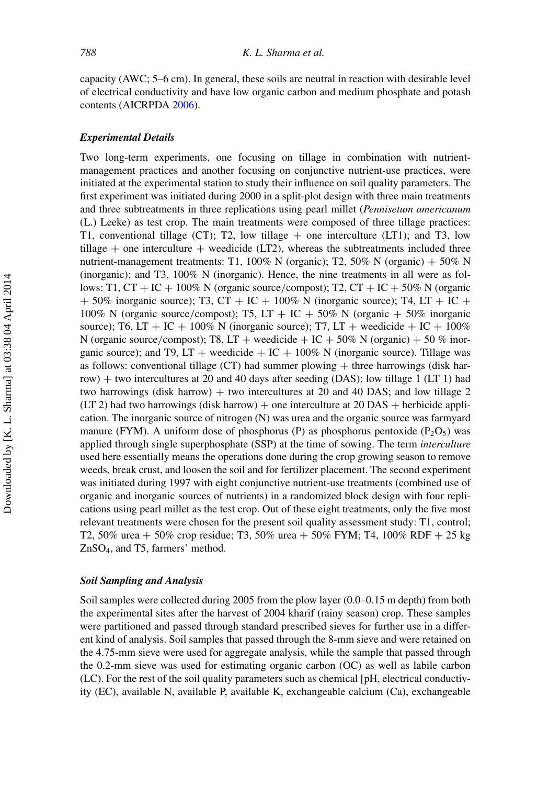capacity (AWC; 5–6 cm). In general, these soils are neutral in reaction with desirable level of electrical conductivity and have low organic carbon and medium phosphate and potash contents (AICRPDA [2006\)](#page-23-6).

#### *Experimental Details*

Two long-term experiments, one focusing on tillage in combination with nutrientmanagement practices and another focusing on conjunctive nutrient-use practices, were initiated at the experimental station to study their influence on soil quality parameters. The first experiment was initiated during 2000 in a split-plot design with three main treatments and three subtreatments in three replications using pearl millet (*Pennisetum americanum* (L.) Leeke) as test crop. The main treatments were composed of three tillage practices: T1, conventional tillage (CT); T2, low tillage  $+$  one interculture (LT1); and T3, low tillage  $+$  one interculture  $+$  weedicide (LT2), whereas the subtreatments included three nutrient-management treatments: T1, 100% N (organic); T2, 50% N (organic) + 50% N (inorganic); and T3, 100% N (inorganic). Hence, the nine treatments in all were as follows: T1,  $CT + IC + 100\%$  N (organic source/compost); T2,  $CT + IC + 50\%$  N (organic  $+$  50% inorganic source); T3, CT + IC + 100% N (inorganic source); T4, LT + IC + 100% N (organic source/compost); T5, LT + IC + 50% N (organic + 50% inorganic source); T6, LT + IC + 100% N (inorganic source); T7, LT + weedicide + IC + 100% N (organic source/compost); T8, LT + weedicide + IC + 50% N (organic) + 50 % inorganic source); and T9, LT + weedicide + IC +  $100\%$  N (inorganic source). Tillage was as follows: conventional tillage  $(CT)$  had summer plowing  $+$  three harrowings (disk harrow) + two intercultures at 20 and 40 days after seeding (DAS); low tillage 1 (LT 1) had two harrowings (disk harrow) + two intercultures at 20 and 40 DAS; and low tillage 2  $(LT 2)$  had two harrowings (disk harrow) + one interculture at 20 DAS + herbicide application. The inorganic source of nitrogen (N) was urea and the organic source was farmyard manure (FYM). A uniform dose of phosphorus (P) as phosphorus pentoxide ( $P_2O_5$ ) was applied through single superphosphate (SSP) at the time of sowing. The term *interculture* used here essentially means the operations done during the crop growing season to remove weeds, break crust, and loosen the soil and for fertilizer placement. The second experiment was initiated during 1997 with eight conjunctive nutrient-use treatments (combined use of organic and inorganic sources of nutrients) in a randomized block design with four replications using pearl millet as the test crop. Out of these eight treatments, only the five most relevant treatments were chosen for the present soil quality assessment study: T1, control; T2, 50% urea + 50% crop residue; T3, 50% urea + 50% FYM; T4, 100% RDF + 25 kg ZnSO4, and T5, farmers' method.

#### *Soil Sampling and Analysis*

Soil samples were collected during 2005 from the plow layer (0.0–0.15 m depth) from both the experimental sites after the harvest of 2004 kharif (rainy season) crop. These samples were partitioned and passed through standard prescribed sieves for further use in a different kind of analysis. Soil samples that passed through the 8-mm sieve and were retained on the 4.75-mm sieve were used for aggregate analysis, while the sample that passed through the 0.2-mm sieve was used for estimating organic carbon (OC) as well as labile carbon (LC). For the rest of the soil quality parameters such as chemical [pH, electrical conductivity (EC), available N, available P, available K, exchangeable calcium (Ca), exchangeable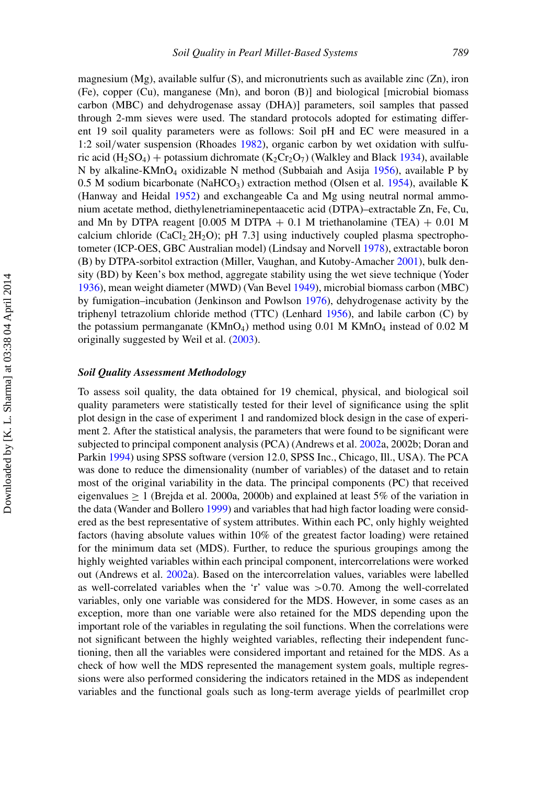magnesium (Mg), available sulfur (S), and micronutrients such as available zinc (Zn), iron (Fe), copper (Cu), manganese (Mn), and boron (B)] and biological [microbial biomass carbon (MBC) and dehydrogenase assay (DHA)] parameters, soil samples that passed through 2-mm sieves were used. The standard protocols adopted for estimating different 19 soil quality parameters were as follows: Soil pH and EC were measured in a 1:2 soil/water suspension (Rhoades [1982\)](#page-25-5), organic carbon by wet oxidation with sulfu-ric acid (H<sub>2</sub>SO<sub>4</sub>) + potassium dichromate (K<sub>2</sub>Cr<sub>2</sub>O<sub>7</sub>) (Walkley and Black [1934\)](#page-26-2), available N by alkaline-KMnO<sub>4</sub> oxidizable N method (Subbaiah and Asija [1956\)](#page-26-3), available P by 0.5 M sodium bicarbonate (NaHCO<sub>3</sub>) extraction method (Olsen et al. [1954\)](#page-25-6), available K (Hanway and Heidal [1952\)](#page-24-8) and exchangeable Ca and Mg using neutral normal ammonium acetate method, diethylenetriaminepentaacetic acid (DTPA)–extractable Zn, Fe, Cu, and Mn by DTPA reagent  $[0.005 \text{ M}$  DTPA  $+ 0.1 \text{ M}$  triethanolamine (TEA)  $+ 0.01 \text{ M}$ calcium chloride (CaCl<sub>2.</sub>2H<sub>2</sub>O); pH 7.3] using inductively coupled plasma spectrophotometer (ICP-OES, GBC Australian model) (Lindsay and Norvell [1978\)](#page-24-9), extractable boron (B) by DTPA-sorbitol extraction (Miller, Vaughan, and Kutoby-Amacher [2001\)](#page-25-7), bulk density (BD) by Keen's box method, aggregate stability using the wet sieve technique (Yoder [1936\)](#page-26-4), mean weight diameter (MWD) (Van Bevel [1949\)](#page-26-5), microbial biomass carbon (MBC) by fumigation–incubation (Jenkinson and Powlson [1976\)](#page-24-10), dehydrogenase activity by the triphenyl tetrazolium chloride method (TTC) (Lenhard [1956\)](#page-24-11), and labile carbon (C) by the potassium permanganate ( $KMnO<sub>4</sub>$ ) method using 0.01 M KMn $O<sub>4</sub>$  instead of 0.02 M originally suggested by Weil et al. [\(2003\)](#page-26-6).

#### *Soil Quality Assessment Methodology*

To assess soil quality, the data obtained for 19 chemical, physical, and biological soil quality parameters were statistically tested for their level of significance using the split plot design in the case of experiment 1 and randomized block design in the case of experiment 2. After the statistical analysis, the parameters that were found to be significant were subjected to principal component analysis (PCA) (Andrews et al. [2002a](#page-23-7), 2002b; Doran and Parkin [1994\)](#page-24-12) using SPSS software (version 12.0, SPSS Inc., Chicago, Ill., USA). The PCA was done to reduce the dimensionality (number of variables) of the dataset and to retain most of the original variability in the data. The principal components (PC) that received eigenvalues  $> 1$  (Brejda et al. 2000a, 2000b) and explained at least 5% of the variation in the data (Wander and Bollero [1999\)](#page-26-7) and variables that had high factor loading were considered as the best representative of system attributes. Within each PC, only highly weighted factors (having absolute values within 10% of the greatest factor loading) were retained for the minimum data set (MDS). Further, to reduce the spurious groupings among the highly weighted variables within each principal component, intercorrelations were worked out (Andrews et al. [2002a](#page-23-7)). Based on the intercorrelation values, variables were labelled as well-correlated variables when the 'r' value was >0.70. Among the well-correlated variables, only one variable was considered for the MDS. However, in some cases as an exception, more than one variable were also retained for the MDS depending upon the important role of the variables in regulating the soil functions. When the correlations were not significant between the highly weighted variables, reflecting their independent functioning, then all the variables were considered important and retained for the MDS. As a check of how well the MDS represented the management system goals, multiple regressions were also performed considering the indicators retained in the MDS as independent variables and the functional goals such as long-term average yields of pearlmillet crop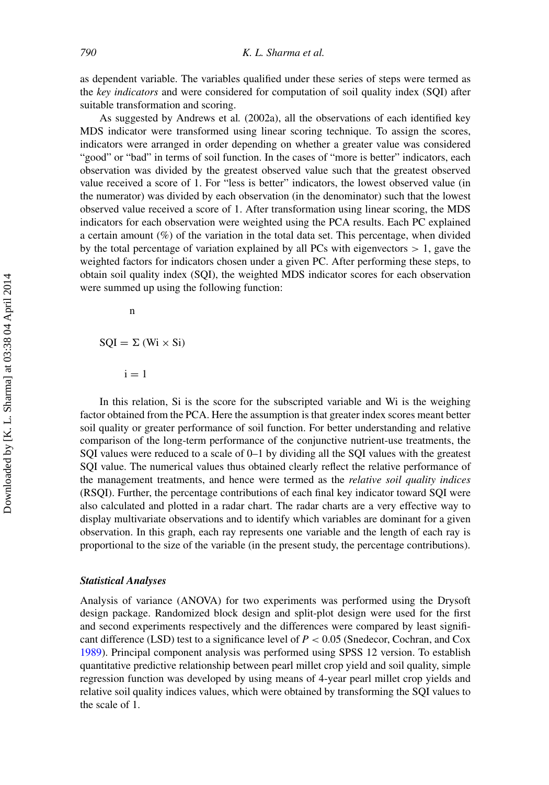as dependent variable. The variables qualified under these series of steps were termed as the *key indicators* and were considered for computation of soil quality index (SQI) after suitable transformation and scoring.

As suggested by Andrews et al*.* (2002a), all the observations of each identified key MDS indicator were transformed using linear scoring technique. To assign the scores, indicators were arranged in order depending on whether a greater value was considered "good" or "bad" in terms of soil function. In the cases of "more is better" indicators, each observation was divided by the greatest observed value such that the greatest observed value received a score of 1. For "less is better" indicators, the lowest observed value (in the numerator) was divided by each observation (in the denominator) such that the lowest observed value received a score of 1. After transformation using linear scoring, the MDS indicators for each observation were weighted using the PCA results. Each PC explained a certain amount (%) of the variation in the total data set. This percentage, when divided by the total percentage of variation explained by all PCs with eigenvectors  $> 1$ , gave the weighted factors for indicators chosen under a given PC. After performing these steps, to obtain soil quality index (SQI), the weighted MDS indicator scores for each observation were summed up using the following function:

n

 $SQL = \Sigma (Wi \times Si)$ 

 $i = 1$ 

In this relation, Si is the score for the subscripted variable and Wi is the weighing factor obtained from the PCA. Here the assumption is that greater index scores meant better soil quality or greater performance of soil function. For better understanding and relative comparison of the long-term performance of the conjunctive nutrient-use treatments, the SQI values were reduced to a scale of 0–1 by dividing all the SQI values with the greatest SQI value. The numerical values thus obtained clearly reflect the relative performance of the management treatments, and hence were termed as the *relative soil quality indices* (RSQI). Further, the percentage contributions of each final key indicator toward SQI were also calculated and plotted in a radar chart. The radar charts are a very effective way to display multivariate observations and to identify which variables are dominant for a given observation. In this graph, each ray represents one variable and the length of each ray is proportional to the size of the variable (in the present study, the percentage contributions).

#### *Statistical Analyses*

Analysis of variance (ANOVA) for two experiments was performed using the Drysoft design package. Randomized block design and split-plot design were used for the first and second experiments respectively and the differences were compared by least significant difference (LSD) test to a significance level of *P* < 0.05 (Snedecor, Cochran, and Cox [1989\)](#page-26-8). Principal component analysis was performed using SPSS 12 version. To establish quantitative predictive relationship between pearl millet crop yield and soil quality, simple regression function was developed by using means of 4-year pearl millet crop yields and relative soil quality indices values, which were obtained by transforming the SQI values to the scale of 1.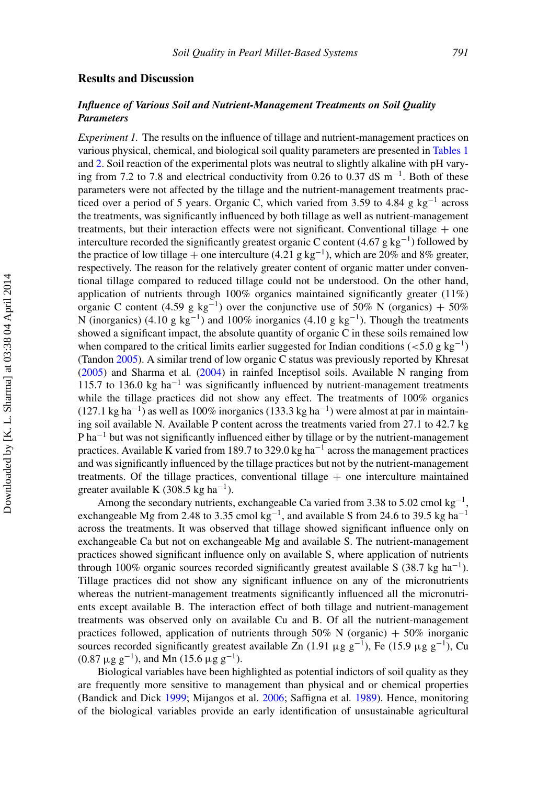# **Results and Discussion**

# *Influence of Various Soil and Nutrient-Management Treatments on Soil Quality Parameters*

*Experiment 1.* The results on the influence of tillage and nutrient-management practices on various physical, chemical, and biological soil quality parameters are presented in [Tables 1](#page-9-0) and [2.](#page-10-0) Soil reaction of the experimental plots was neutral to slightly alkaline with pH varying from 7.2 to 7.8 and electrical conductivity from 0.26 to 0.37 dS  $m^{-1}$ . Both of these parameters were not affected by the tillage and the nutrient-management treatments practiced over a period of 5 years. Organic C, which varied from 3.59 to 4.84 g kg<sup>-1</sup> across the treatments, was significantly influenced by both tillage as well as nutrient-management treatments, but their interaction effects were not significant. Conventional tillage  $+$  one interculture recorded the significantly greatest organic C content (4.67 g kg<sup>-1</sup>) followed by the practice of low tillage + one interculture (4.21 g kg<sup>-1</sup>), which are 20% and 8% greater, respectively. The reason for the relatively greater content of organic matter under conventional tillage compared to reduced tillage could not be understood. On the other hand, application of nutrients through 100% organics maintained significantly greater (11%) organic C content (4.59 g kg<sup>-1</sup>) over the conjunctive use of 50% N (organics) + 50% N (inorganics) (4.10 g kg<sup>-1</sup>) and 100% inorganics (4.10 g kg<sup>-1</sup>). Though the treatments showed a significant impact, the absolute quantity of organic C in these soils remained low when compared to the critical limits earlier suggested for Indian conditions ( $\lt 5.0$  g kg<sup>-1</sup>) (Tandon [2005\)](#page-26-9). A similar trend of low organic C status was previously reported by Khresat [\(2005\)](#page-24-13) and Sharma et al*.* [\(2004\)](#page-25-0) in rainfed Inceptisol soils. Available N ranging from 115.7 to 136.0 kg ha<sup>-1</sup> was significantly influenced by nutrient-management treatments while the tillage practices did not show any effect. The treatments of 100% organics (127.1 kg ha<sup>-1</sup>) as well as 100% inorganics (133.3 kg ha<sup>-1</sup>) were almost at par in maintaining soil available N. Available P content across the treatments varied from 27.1 to 42.7 kg P ha<sup> $-1$ </sup> but was not significantly influenced either by tillage or by the nutrient-management practices. Available K varied from 189.7 to 329.0 kg ha−<sup>1</sup> across the management practices and was significantly influenced by the tillage practices but not by the nutrient-management treatments. Of the tillage practices, conventional tillage  $+$  one interculture maintained greater available K (308.5 kg ha<sup>-1</sup>).

Among the secondary nutrients, exchangeable Ca varied from 3.38 to 5.02 cmol kg<sup>-1</sup> exchangeable Mg from 2.48 to 3.35 cmol kg<sup>-1</sup>, and available S from 24.6 to 39.5 kg ha<sup>-1</sup> across the treatments. It was observed that tillage showed significant influence only on exchangeable Ca but not on exchangeable Mg and available S. The nutrient-management practices showed significant influence only on available S, where application of nutrients through 100% organic sources recorded significantly greatest available S (38.7 kg ha<sup>-1</sup>). Tillage practices did not show any significant influence on any of the micronutrients whereas the nutrient-management treatments significantly influenced all the micronutrients except available B. The interaction effect of both tillage and nutrient-management treatments was observed only on available Cu and B. Of all the nutrient-management practices followed, application of nutrients through 50% N (organic)  $+ 50\%$  inorganic sources recorded significantly greatest available Zn (1.91 μg g<sup>-1</sup>), Fe (15.9 μg g<sup>-1</sup>), Cu  $(0.87 \,\mu g \,g^{-1})$ , and Mn (15.6  $\mu g \,g^{-1}$ ).

Biological variables have been highlighted as potential indictors of soil quality as they are frequently more sensitive to management than physical and or chemical properties (Bandick and Dick [1999;](#page-23-8) Mijangos et al. [2006;](#page-25-8) Saffigna et al*.* [1989\)](#page-25-9). Hence, monitoring of the biological variables provide an early identification of unsustainable agricultural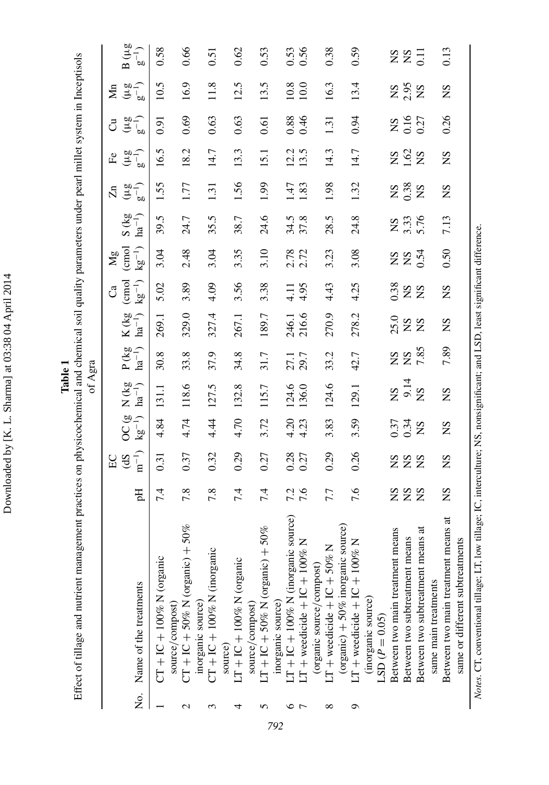Downloaded by [K. L. Sharma] at 03:38 04 April 2014 Downloaded by [K. L. Sharma] at 03:38 04 April 2014

**Table 1**

Effect of tillage and nutrient management practices on physicochemical and chemical soil quality parameters under pearl millet system in Inceptisols Effect of tillage and nutrient management practices on physicochemical and chemical soil quality parameters under pearl millet system in Inceptisols of Agra

|             |                                                  |            | $_{\rm EC}$       |                                    |                               |                               |                           | ೆ                                                             | Mg           |                          | Ч                                             | $\mathbf{H}$   | ්                  | $\sum_{n=1}^{\infty}$                       |                |
|-------------|--------------------------------------------------|------------|-------------------|------------------------------------|-------------------------------|-------------------------------|---------------------------|---------------------------------------------------------------|--------------|--------------------------|-----------------------------------------------|----------------|--------------------|---------------------------------------------|----------------|
|             |                                                  |            | (dS               |                                    | $N$ (kg<br>ha <sup>-1</sup> ) | $P$ (kg<br>ha <sup>-1</sup> ) | $K(kg$ ha <sup>-1</sup> ) | $\begin{pmatrix} \text{cmol} \\ \text{kg}^{-1} \end{pmatrix}$ | (cmol        | $\frac{S (kg}{na^{-1})}$ | $(\frac{1}{2}a)^{-1}$                         | $(\mu g^{-1})$ | $(\mu g_{-1})$     | $(\mu g^{-1})$                              | $B(\mu g)$     |
|             | No. Name of the treatments                       | 핁          | $\mathbf{n}^{-1}$ | $\frac{\text{OC}}{\text{kg}^{-1}}$ |                               |                               |                           |                                                               | $kg^{-1}$    |                          |                                               |                |                    |                                             | $g^{-1}$       |
|             | $CT + IC + 100%$ N (organic                      | 7.4        | 0.31              | 4.84                               | 131.1                         | 30.8                          | 269.1                     | 5.02                                                          | 3.04         | 39.5                     | .55                                           | 16.5           | 0.91               | 10.5                                        | 0.58           |
|             | source/compost)                                  |            |                   |                                    |                               |                               |                           |                                                               |              |                          |                                               |                |                    |                                             |                |
| $\mathbf 2$ | $CT + IC + 50\%$ N (organic) + 50%               | 7.8        | 0.37              | 4.74                               | 118.6                         | 33.8                          | 329.0                     | 3.89                                                          | 2.48         | 24.7                     | 1.77                                          | 18.2           | 0.69               | 16.9                                        | 0.66           |
|             | inorganic source)<br>CT + IC + 100% N (inorganic |            |                   |                                    |                               |                               |                           |                                                               |              |                          |                                               |                |                    |                                             |                |
| 3           |                                                  | 7.8        | 0.32              | 44                                 | 127.5                         | 37.9                          | 327.4                     | 4.09                                                          | 3.04         | 35.5                     | 1.31                                          | 14.7           | 0.63               | 11.8                                        | 0.51           |
|             | source)                                          |            |                   |                                    |                               |                               |                           |                                                               |              |                          |                                               |                |                    |                                             |                |
| 4           | LT + IC + 100% N (organic                        | 7.4        | 0.29              | 4.70                               | 132.8                         | 34.8                          | 267.1                     | 3.56                                                          | 3.35         | 38.7                     | 1.56                                          | 13.3           | 0.63               | 12.5                                        | 0.62           |
|             | source/compost)                                  |            |                   |                                    |                               |                               |                           |                                                               |              |                          |                                               |                |                    |                                             |                |
| n           | $LT + IC + 50\%$ N (organic) + 50%               | 7.4        | 0.27              | 3.72                               | 115.7                         | 31.7                          | 189.7                     | 3.38                                                          | 3.10         | 24.6                     | 1.99                                          | 15.1           | 0.61               | 13.5                                        | 0.53           |
|             | inorganic source)                                |            |                   |                                    |                               |                               |                           |                                                               |              |                          |                                               |                |                    |                                             |                |
| ∘           | rce)<br>$LT + IC + 100%$ N (inorganic sour       |            | 0.28              | $4.20$<br>$4.23$                   | 124.6                         | 27.1                          |                           |                                                               | 2.78         | 34.5<br>37.8             | Ł.                                            | 12.5           | 0.38<br>0.46       | $\begin{array}{c} 10.8 \\ 10.0 \end{array}$ |                |
|             | $LT +$ weedicide $+ IC + 100\%$ N                | 7.3<br>7.6 | 0.27              |                                    | 136.0                         | 29.7                          | 246.1<br>216.6            | $4.11$<br>$4.95$                                              |              |                          | $\ddot{s}$                                    |                |                    |                                             | $0.53$<br>0.56 |
|             | (organic source/compost)                         |            |                   |                                    |                               |                               |                           |                                                               |              |                          |                                               |                |                    |                                             |                |
| $\infty$    | $LT +$ weedicide $+ IC + 50\%$ N                 | 7.7        | 0.29              | 3.83                               | 124.6                         | 33.2                          | 270.9                     | 4.43                                                          | 3.23         | 28.5                     | 1.98                                          | 14.3           | 1.31               | 16.3                                        | 0.38           |
|             | (organic) $+50\%$ inorganic source)              |            |                   |                                    |                               |                               |                           |                                                               |              |                          |                                               |                |                    |                                             |                |
| Ó           | $LT + V = +1C + 1C + 1C$                         | 7.6        | 0.26              | 3.59                               | 129.1                         | 42.7                          | 278.2                     | 4.25                                                          | 3.08         | 24.8                     | 1.32                                          | 14.7           | 0.94               | 13.4                                        | 0.59           |
|             | (inorganic source)                               |            |                   |                                    |                               |                               |                           |                                                               |              |                          |                                               |                |                    |                                             |                |
|             | $LSD (P = 0.05)$                                 |            |                   |                                    |                               |                               |                           |                                                               |              |                          |                                               |                |                    |                                             |                |
|             | Between two main treatment means                 |            |                   | 0.37<br>0.34<br>NS                 | NS<br>9.14<br>NS              | <b>NS<br/>285</b><br>7.85     | $328$<br>$X2$             | 38<br>XX<br>XX                                                | <b>ES 25</b> | NS<br>3.33<br>5.76       | $\begin{array}{c} 28 \\ 28 \\ 28 \end{array}$ | 282            | NS<br>0.16<br>0.27 | <b>NS</b><br>2.95<br>NS                     | 225            |
|             | Between two subtreatment means                   | <b>222</b> | <b>ESS</b>        |                                    |                               |                               |                           |                                                               |              |                          |                                               |                |                    |                                             |                |
|             | Between two subtreatment means at                |            |                   |                                    |                               |                               |                           |                                                               |              |                          |                                               |                |                    |                                             |                |
|             | same main treatments                             |            |                   |                                    |                               |                               |                           |                                                               |              |                          |                                               |                |                    |                                             |                |
|             | ಕ<br>Between two main treatment means            | SN         | $^{2}S$           | SN                                 | $^{2}S$                       | 7.89                          | $^{2}S$                   | $^{2}S$                                                       | 0.50         | 7.13                     | $^{2}S$                                       | $^{2}S$        | 0.26               | $^{2}S$                                     | 0.13           |
|             | same or different subtreatments                  |            |                   |                                    |                               |                               |                           |                                                               |              |                          |                                               |                |                    |                                             |                |
|             |                                                  |            |                   |                                    |                               |                               |                           |                                                               |              |                          |                                               |                |                    |                                             |                |

<span id="page-9-0"></span>Notes. CT, conventional tillage; LT, low tillage; IC, interculture; NS, nonsignificant; and LSD, least significant difference. *Notes.* CT, conventional tillage; LT, low tillage; IC, interculture; NS, nonsignificant; and LSD, least significant difference.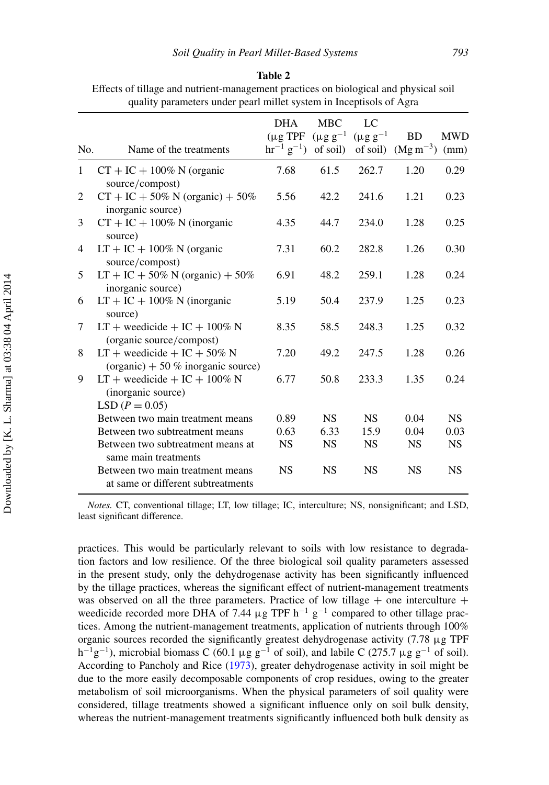|                                                     | $N-1$ 2 3 4 5 6 7 8 9 |
|-----------------------------------------------------|-----------------------|
|                                                     |                       |
|                                                     |                       |
|                                                     |                       |
|                                                     |                       |
|                                                     |                       |
|                                                     |                       |
| Downloaded by [K. L. Sharma] at 03:38 04 April 2014 |                       |
|                                                     |                       |
|                                                     |                       |
|                                                     |                       |
|                                                     |                       |
|                                                     |                       |

<span id="page-10-0"></span>Effects of tillage and nutrient-management practices on biological and physical soil quality parameters under pearl millet system in Inceptisols of Agra

| No.          | Name of the treatments                                                      | <b>DHA</b><br>$(\mu$ g TPF<br>$hr^{-1} g^{-1}$ of soil) | <b>MBC</b><br>$(\mu g g^{-1})$ | LC<br>$(\mu g g^{-1})$ | <b>BD</b><br>of soil) $(Mg\,m^{-3})$ | <b>MWD</b><br>(mm) |
|--------------|-----------------------------------------------------------------------------|---------------------------------------------------------|--------------------------------|------------------------|--------------------------------------|--------------------|
| $\mathbf{1}$ | $CT + IC + 100\%$ N (organic<br>source/compost)                             | 7.68                                                    | 61.5                           | 262.7                  | 1.20                                 | 0.29               |
| 2            | $CT + IC + 50\% N$ (organic) + 50%<br>inorganic source)                     | 5.56                                                    | 42.2                           | 241.6                  | 1.21                                 | 0.23               |
| 3            | $CT + IC + 100\%$ N (inorganic<br>source)                                   | 4.35                                                    | 44.7                           | 234.0                  | 1.28                                 | 0.25               |
| 4            | $LT + IC + 100\%$ N (organic<br>source/compost)                             | 7.31                                                    | 60.2                           | 282.8                  | 1.26                                 | 0.30               |
| 5            | $LT + IC + 50\% N (organic) + 50\%$<br>inorganic source)                    | 6.91                                                    | 48.2                           | 259.1                  | 1.28                                 | 0.24               |
| 6            | $LT + IC + 100\%$ N (inorganic<br>source)                                   | 5.19                                                    | 50.4                           | 237.9                  | 1.25                                 | 0.23               |
| 7            | $LT +$ weedicide + $IC + 100\%$ N<br>(organic source/compost)               | 8.35                                                    | 58.5                           | 248.3                  | 1.25                                 | 0.32               |
| 8            | $LT +$ weedicide + $IC + 50\%$ N<br>(organic) + 50 % inorganic source)      | 7.20                                                    | 49.2                           | 247.5                  | 1.28                                 | 0.26               |
| 9            | $LT +$ weedicide + $IC + 100\%$ N<br>(inorganic source)<br>LSD $(P = 0.05)$ | 6.77                                                    | 50.8                           | 233.3                  | 1.35                                 | 0.24               |
|              | Between two main treatment means                                            | 0.89                                                    | <b>NS</b>                      | <b>NS</b>              | 0.04                                 | <b>NS</b>          |
|              | Between two subtreatment means                                              | 0.63                                                    | 6.33                           | 15.9                   | 0.04                                 | 0.03               |
|              | Between two subtreatment means at<br>same main treatments                   | <b>NS</b>                                               | <b>NS</b>                      | <b>NS</b>              | <b>NS</b>                            | <b>NS</b>          |
|              | Between two main treatment means<br>at same or different subtreatments      | <b>NS</b>                                               | <b>NS</b>                      | <b>NS</b>              | <b>NS</b>                            | <b>NS</b>          |

*Notes.* CT, conventional tillage; LT, low tillage; IC, interculture; NS, nonsignificant; and LSD, least significant difference.

practices. This would be particularly relevant to soils with low resistance to degradation factors and low resilience. Of the three biological soil quality parameters assessed in the present study, only the dehydrogenase activity has been significantly influenced by the tillage practices, whereas the significant effect of nutrient-management treatments was observed on all the three parameters. Practice of low tillage  $+$  one interculture  $+$ weedicide recorded more DHA of 7.44  $\mu$ g TPF h<sup>-1</sup> g<sup>-1</sup> compared to other tillage practices. Among the nutrient-management treatments, application of nutrients through 100% organic sources recorded the significantly greatest dehydrogenase activity (7.78 μg TPF h<sup>-1</sup>g<sup>-1</sup>), microbial biomass C (60.1 µg g<sup>-1</sup> of soil), and labile C (275.7 µg g<sup>-1</sup> of soil). According to Pancholy and Rice [\(1973\)](#page-25-10), greater dehydrogenase activity in soil might be due to the more easily decomposable components of crop residues, owing to the greater metabolism of soil microorganisms. When the physical parameters of soil quality were considered, tillage treatments showed a significant influence only on soil bulk density, whereas the nutrient-management treatments significantly influenced both bulk density as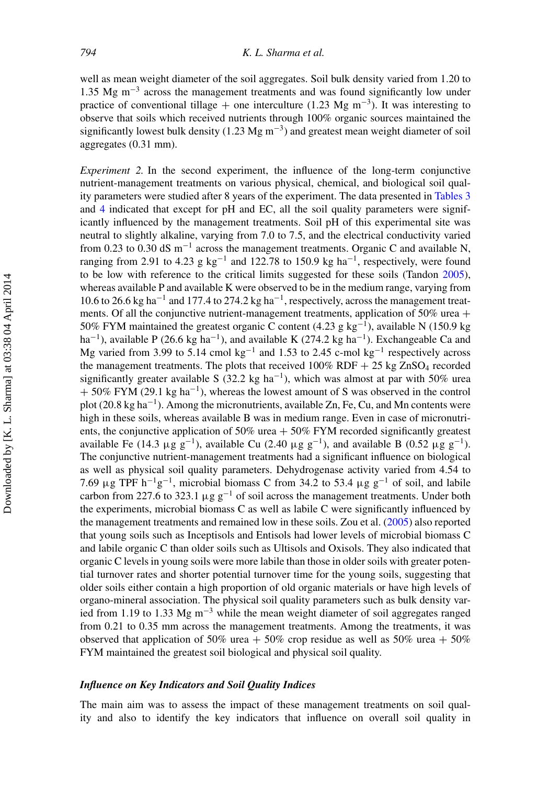well as mean weight diameter of the soil aggregates. Soil bulk density varied from 1.20 to 1.35 Mg m<sup>-3</sup> across the management treatments and was found significantly low under practice of conventional tillage + one interculture (1.23 Mg m<sup>-3</sup>). It was interesting to observe that soils which received nutrients through 100% organic sources maintained the significantly lowest bulk density (1.23 Mg m<sup>-3</sup>) and greatest mean weight diameter of soil aggregates (0.31 mm).

*Experiment 2.* In the second experiment, the influence of the long-term conjunctive nutrient-management treatments on various physical, chemical, and biological soil quality parameters were studied after 8 years of the experiment. The data presented in [Tables 3](#page-12-0) and [4](#page-13-0) indicated that except for pH and EC, all the soil quality parameters were significantly influenced by the management treatments. Soil pH of this experimental site was neutral to slightly alkaline, varying from 7.0 to 7.5, and the electrical conductivity varied from 0.23 to 0.30 dS m−<sup>1</sup> across the management treatments. Organic C and available N, ranging from 2.91 to 4.23 g kg<sup>-1</sup> and 122.78 to 150.9 kg ha<sup>-1</sup>, respectively, were found to be low with reference to the critical limits suggested for these soils (Tandon [2005\)](#page-26-9), whereas available P and available K were observed to be in the medium range, varying from 10.6 to 26.6 kg ha<sup>-1</sup> and 177.4 to 274.2 kg ha<sup>-1</sup>, respectively, across the management treatments. Of all the conjunctive nutrient-management treatments, application of  $50\%$  urea + 50% FYM maintained the greatest organic C content (4.23 g kg<sup>-1</sup>), available N (150.9 kg) ha<sup>-1</sup>), available P (26.6 kg ha<sup>-1</sup>), and available K (274.2 kg ha<sup>-1</sup>). Exchangeable Ca and Mg varied from 3.99 to 5.14 cmol kg<sup>-1</sup> and 1.53 to 2.45 c-mol kg<sup>-1</sup> respectively across the management treatments. The plots that received  $100\%$  RDF  $+ 25$  kg ZnSO<sub>4</sub> recorded significantly greater available S (32.2 kg ha<sup>-1</sup>), which was almost at par with 50% urea  $+ 50\%$  FYM (29.1 kg ha<sup>-1</sup>), whereas the lowest amount of S was observed in the control plot (20.8 kg ha<sup>-1</sup>). Among the micronutrients, available Zn, Fe, Cu, and Mn contents were high in these soils, whereas available B was in medium range. Even in case of micronutrients, the conjunctive application of 50% urea  $+$  50% FYM recorded significantly greatest available Fe (14.3 μg g<sup>-1</sup>), available Cu (2.40 μg g<sup>-1</sup>), and available B (0.52 μg g<sup>-1</sup>). The conjunctive nutrient-management treatments had a significant influence on biological as well as physical soil quality parameters. Dehydrogenase activity varied from 4.54 to 7.69 μg TPF  $h^{-1}g^{-1}$ , microbial biomass C from 34.2 to 53.4 μg  $g^{-1}$  of soil, and labile carbon from 227.6 to 323.1  $\mu$ g g<sup>-1</sup> of soil across the management treatments. Under both the experiments, microbial biomass C as well as labile C were significantly influenced by the management treatments and remained low in these soils. Zou et al. [\(2005\)](#page-26-10) also reported that young soils such as Inceptisols and Entisols had lower levels of microbial biomass C and labile organic C than older soils such as Ultisols and Oxisols. They also indicated that organic C levels in young soils were more labile than those in older soils with greater potential turnover rates and shorter potential turnover time for the young soils, suggesting that older soils either contain a high proportion of old organic materials or have high levels of organo-mineral association. The physical soil quality parameters such as bulk density varied from 1.19 to 1.33 Mg m<sup>-3</sup> while the mean weight diameter of soil aggregates ranged from 0.21 to 0.35 mm across the management treatments. Among the treatments, it was observed that application of 50% urea + 50% crop residue as well as 50% urea + 50% FYM maintained the greatest soil biological and physical soil quality.

#### *Influence on Key Indicators and Soil Quality Indices*

The main aim was to assess the impact of these management treatments on soil quality and also to identify the key indicators that influence on overall soil quality in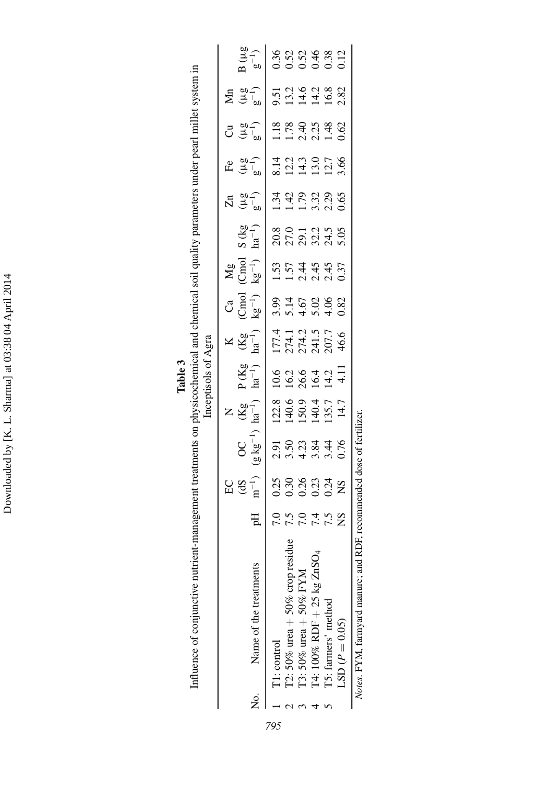Downloaded by [K. L. Sharma] at 03:38 04 April 2014 Downloaded by [K. L. Sharma] at 03:38 04 April 2014

|         | nent treatments on physicochemical and chemical soil quality parameters under pearl millet system in |                     | $\sum_{i=1}^{n}$<br>Ĵ<br>$\ddot{\mathbf{z}}$ |
|---------|------------------------------------------------------------------------------------------------------|---------------------|----------------------------------------------|
|         |                                                                                                      |                     | $\frac{1}{2}$                                |
|         |                                                                                                      |                     | م<br>م                                       |
| Table 3 |                                                                                                      | incentisols of Agra |                                              |
|         |                                                                                                      |                     |                                              |
|         | anagem<br>Ì                                                                                          |                     | ۲<br>Д                                       |

|                                                                  |                      |                                     |                                                                              |                                                                                     | mar i an ann dam                          |                                                                |                                      |                                                            |                                   |                                                                   |                                        |                                                          |                                        |                                   |
|------------------------------------------------------------------|----------------------|-------------------------------------|------------------------------------------------------------------------------|-------------------------------------------------------------------------------------|-------------------------------------------|----------------------------------------------------------------|--------------------------------------|------------------------------------------------------------|-----------------------------------|-------------------------------------------------------------------|----------------------------------------|----------------------------------------------------------|----------------------------------------|-----------------------------------|
|                                                                  |                      |                                     |                                                                              |                                                                                     |                                           |                                                                |                                      |                                                            |                                   |                                                                   |                                        |                                                          |                                        |                                   |
|                                                                  |                      | $EG \overline{G}$<br>$\overline{G}$ |                                                                              | $X \overset{\mathbf{g}}{\underset{\mathbf{a}}{\mathbf{g}}} \overset{\mathbf{g}}{=}$ |                                           | $\times \overline{\overset{\circ}{\mathbb{E}}}^{g-1}_{\rm aa}$ |                                      | $\mathbf{M}$ g $\mathrm{H}$<br>$\mathrm{M}$ g $\mathrm{H}$ |                                   |                                                                   |                                        | ರ <u>ತ</u> ್ಮ                                            |                                        |                                   |
| No. Name of the treatments                                       | Ηq                   |                                     | $\frac{OC}{(g \, kg^{-1})}$                                                  |                                                                                     | $P(Kg_{1})$                               |                                                                | င်္ $\overline{B}$ ကြံ               |                                                            | $S$ (kg<br>ha <sup>-1</sup> )     | $\bar{X}$ $\overset{\omega}{\neq}$ $\overset{\omega}{\downarrow}$ | E(3, 2)                                |                                                          |                                        | $\frac{1}{3}$<br>$\frac{1}{2}$    |
| T1: control                                                      |                      |                                     |                                                                              |                                                                                     |                                           |                                                                |                                      |                                                            |                                   |                                                                   |                                        |                                                          |                                        |                                   |
| T2: 50% urea $+50\%$ crop residue                                |                      |                                     |                                                                              |                                                                                     |                                           |                                                                |                                      |                                                            |                                   |                                                                   |                                        |                                                          |                                        |                                   |
| T3: 50% urea + 50% FYM                                           |                      |                                     |                                                                              |                                                                                     |                                           |                                                                |                                      |                                                            |                                   |                                                                   |                                        |                                                          |                                        |                                   |
| T4: $100\%$ RDF $+ 25$ kg ZnSO <sub>4</sub>                      | 0.004.02<br>0.004.02 | 338334<br>000002                    | 0<br>0<br>0<br>0<br>0<br>0<br>0<br>0<br>0<br>0<br>0<br>0<br>0<br>0<br>0<br>0 | 122.8<br>140.6<br>150.9<br>14.7<br>14.7                                             | 10 10 10 11<br>10 10 11 11<br>10 11 11 11 | 177.4<br>274.1<br>274.2<br>207.7<br>46.6                       | 3.93<br>5.15<br>5.03<br>5.03<br>5.03 | $1.57$<br>$1.445$<br>$1.445$<br>$1.445$<br>$0.37$          | 8<br>2011<br>2022<br>2023<br>2023 | $1.428$<br>$1.7838$<br>$0.65$                                     | 8.14<br>12.2<br>14.3.0<br>12.7<br>3.66 | $1.78$<br>$1.74$<br>$1.44$<br>$0.62$<br>$1.44$<br>$0.62$ | 9.51<br>13.2<br>14.4.8<br>16.8<br>2.82 | 8<br>0.52<br>0.0.0.0.0<br>0.0.0.0 |
| T5: farmers' method                                              |                      |                                     |                                                                              |                                                                                     |                                           |                                                                |                                      |                                                            |                                   |                                                                   |                                        |                                                          |                                        |                                   |
| $LSD (P = 0.05)$                                                 |                      |                                     |                                                                              |                                                                                     |                                           |                                                                |                                      |                                                            |                                   |                                                                   |                                        |                                                          |                                        |                                   |
| $M_{\alpha\beta}$ HVM ferrosic property to the $M_{\alpha\beta}$ |                      |                                     | rommandad doca of fartilizar                                                 |                                                                                     |                                           |                                                                |                                      |                                                            |                                   |                                                                   |                                        |                                                          |                                        |                                   |

<span id="page-12-0"></span>Notes. FYM, tarmyard manure; and RDF, recommended dose of fertilizer. *Notes.* FYM, farmyard manure; and RDF, recommended dose of fertilizer.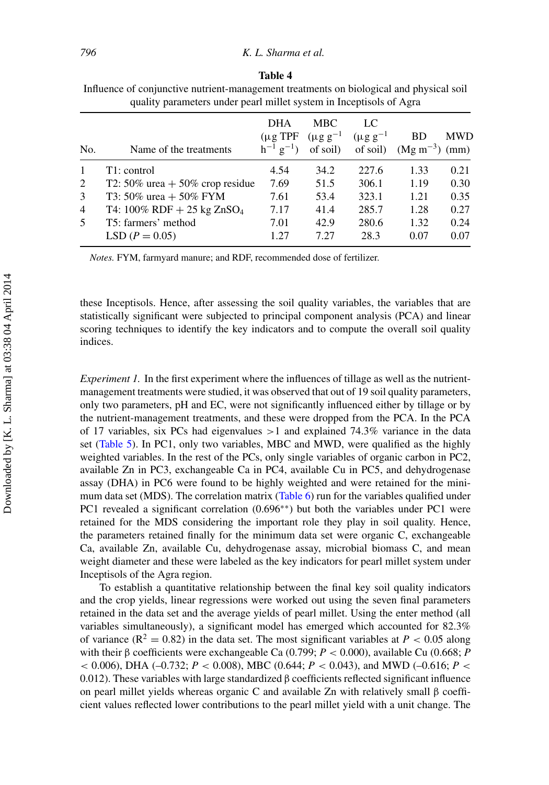|              | . .<br>. .                                |                                                          |                                            |                                    |                                  |              |
|--------------|-------------------------------------------|----------------------------------------------------------|--------------------------------------------|------------------------------------|----------------------------------|--------------|
| No.          | Name of the treatments                    | <b>DHA</b><br>$(\mu g$ TPF<br>$h^{-1}$ g <sup>-1</sup> ) | <b>MBC</b><br>$(\mu g g^{-1})$<br>of soil) | LC<br>$(\mu g g^{-1})$<br>of soil) | <b>BD</b><br>$(Mg\ m^{-3})$ (mm) | <b>MWD</b>   |
| $\mathbf{1}$ | T1: control                               | 4.54                                                     | 34.2                                       | 227.6                              | 1.33                             | 0.21         |
| 2            | T2: 50% urea $+$ 50% crop residue         | 7.69                                                     | 51.5                                       | 306.1                              | 1.19                             | 0.30         |
| 3            | T3: 50% urea + 50% FYM                    | 7.61                                                     | 53.4                                       | 323.1                              | 1.21                             | 0.35         |
| 4            | T4: $100\%$ RDF + 25 kg ZnSO <sub>4</sub> | 7.17                                                     | 41.4                                       | 285.7                              | 1.28                             | 0.27         |
| 5            | T5: farmers' method<br>$LSD (P = 0.05)$   | 7.01<br>1.27                                             | 42.9<br>7.27                               | 280.6<br>28.3                      | 1.32<br>0.07                     | 0.24<br>0.07 |
|              |                                           |                                                          |                                            |                                    |                                  |              |

<span id="page-13-0"></span>**Table 4** Influence of conjunctive nutrient-management treatments on biological and physical soil quality parameters under pearl millet system in Inceptisols of Agra

*Notes.* FYM, farmyard manure; and RDF, recommended dose of fertilizer.

these Inceptisols. Hence, after assessing the soil quality variables, the variables that are statistically significant were subjected to principal component analysis (PCA) and linear scoring techniques to identify the key indicators and to compute the overall soil quality indices.

*Experiment 1.* In the first experiment where the influences of tillage as well as the nutrientmanagement treatments were studied, it was observed that out of 19 soil quality parameters, only two parameters, pH and EC, were not significantly influenced either by tillage or by the nutrient-management treatments, and these were dropped from the PCA. In the PCA of 17 variables, six PCs had eigenvalues  $>1$  and explained 74.3% variance in the data set [\(Table 5\)](#page-14-0). In PC1, only two variables, MBC and MWD, were qualified as the highly weighted variables. In the rest of the PCs, only single variables of organic carbon in PC2, available Zn in PC3, exchangeable Ca in PC4, available Cu in PC5, and dehydrogenase assay (DHA) in PC6 were found to be highly weighted and were retained for the minimum data set (MDS). The correlation matrix [\(Table 6\)](#page-14-1) run for the variables qualified under PC1 revealed a significant correlation (0.696<sup>∗∗</sup>) but both the variables under PC1 were retained for the MDS considering the important role they play in soil quality. Hence, the parameters retained finally for the minimum data set were organic C, exchangeable Ca, available Zn, available Cu, dehydrogenase assay, microbial biomass C, and mean weight diameter and these were labeled as the key indicators for pearl millet system under Inceptisols of the Agra region.

To establish a quantitative relationship between the final key soil quality indicators and the crop yields, linear regressions were worked out using the seven final parameters retained in the data set and the average yields of pearl millet. Using the enter method (all variables simultaneously), a significant model has emerged which accounted for 82.3% of variance ( $R^2 = 0.82$ ) in the data set. The most significant variables at  $P < 0.05$  along with their β coefficients were exchangeable Ca (0.799; *P* < 0.000), available Cu (0.668; *P* < 0.006), DHA (–0.732; *P* < 0.008), MBC (0.644; *P* < 0.043), and MWD (–0.616; *P* < 0.012). These variables with large standardized  $\beta$  coefficients reflected significant influence on pearl millet yields whereas organic C and available Zn with relatively small β coefficient values reflected lower contributions to the pearl millet yield with a unit change. The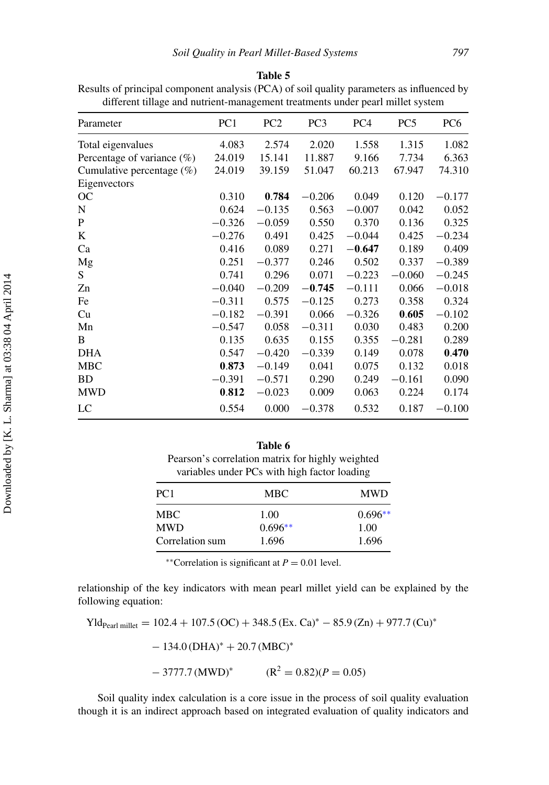<span id="page-14-0"></span>

Results of principal component analysis (PCA) of soil quality parameters as influenced by different tillage and nutrient-management treatments under pearl millet system

| Parameter                     | PC <sub>1</sub> | PC <sub>2</sub> | PC <sub>3</sub> | PC <sub>4</sub> | PC <sub>5</sub> | PC <sub>6</sub> |
|-------------------------------|-----------------|-----------------|-----------------|-----------------|-----------------|-----------------|
| Total eigenvalues             | 4.083           | 2.574           | 2.020           | 1.558           | 1.315           | 1.082           |
| Percentage of variance $(\%)$ | 24.019          | 15.141          | 11.887          | 9.166           | 7.734           | 6.363           |
| Cumulative percentage $(\%)$  | 24.019          | 39.159          | 51.047          | 60.213          | 67.947          | 74.310          |
| Eigenvectors                  |                 |                 |                 |                 |                 |                 |
| OC                            | 0.310           | 0.784           | $-0.206$        | 0.049           | 0.120           | $-0.177$        |
| N                             | 0.624           | $-0.135$        | 0.563           | $-0.007$        | 0.042           | 0.052           |
| P                             | $-0.326$        | $-0.059$        | 0.550           | 0.370           | 0.136           | 0.325           |
| K                             | $-0.276$        | 0.491           | 0.425           | $-0.044$        | 0.425           | $-0.234$        |
| Ca                            | 0.416           | 0.089           | 0.271           | $-0.647$        | 0.189           | 0.409           |
| Mg                            | 0.251           | $-0.377$        | 0.246           | 0.502           | 0.337           | $-0.389$        |
| S                             | 0.741           | 0.296           | 0.071           | $-0.223$        | $-0.060$        | $-0.245$        |
| Zn                            | $-0.040$        | $-0.209$        | $-0.745$        | $-0.111$        | 0.066           | $-0.018$        |
| Fe                            | $-0.311$        | 0.575           | $-0.125$        | 0.273           | 0.358           | 0.324           |
| Cu                            | $-0.182$        | $-0.391$        | 0.066           | $-0.326$        | 0.605           | $-0.102$        |
| Mn                            | $-0.547$        | 0.058           | $-0.311$        | 0.030           | 0.483           | 0.200           |
| B                             | 0.135           | 0.635           | 0.155           | 0.355           | $-0.281$        | 0.289           |
| <b>DHA</b>                    | 0.547           | $-0.420$        | $-0.339$        | 0.149           | 0.078           | 0.470           |
| <b>MBC</b>                    | 0.873           | $-0.149$        | 0.041           | 0.075           | 0.132           | 0.018           |
| <b>BD</b>                     | $-0.391$        | $-0.571$        | 0.290           | 0.249           | $-0.161$        | 0.090           |
| <b>MWD</b>                    | 0.812           | $-0.023$        | 0.009           | 0.063           | 0.224           | 0.174           |
| LC                            | 0.554           | 0.000           | $-0.378$        | 0.532           | 0.187           | $-0.100$        |
|                               |                 |                 |                 |                 |                 |                 |

# <span id="page-14-1"></span>**Table 6** Pearson's correlation matrix for highly weighted variables under PCs with high factor loading

| PC <sub>1</sub> | <b>MBC</b> | <b>MWD</b> |
|-----------------|------------|------------|
| <b>MBC</b>      | 1.00       | $0.696**$  |
| <b>MWD</b>      | $0.696**$  | 1.00       |
| Correlation sum | 1.696      | 1.696      |

∗∗Correlation is significant at *P* = 0.01 level.

relationship of the key indicators with mean pearl millet yield can be explained by the following equation:

 $Yld_{Pearl millet} = 102.4 + 107.5 (OC) + 348.5 (Ex. Ca)* - 85.9 (Zn) + 977.7 (Cu)*$ 

$$
-134.0 \, \text{(DHA)}^* + 20.7 \, \text{(MBC)}^*
$$

 $-3777.7 \text{(MWD)}^*$   $(\text{R}^2 = 0.82)(P = 0.05)$ 

Soil quality index calculation is a core issue in the process of soil quality evaluation though it is an indirect approach based on integrated evaluation of quality indicators and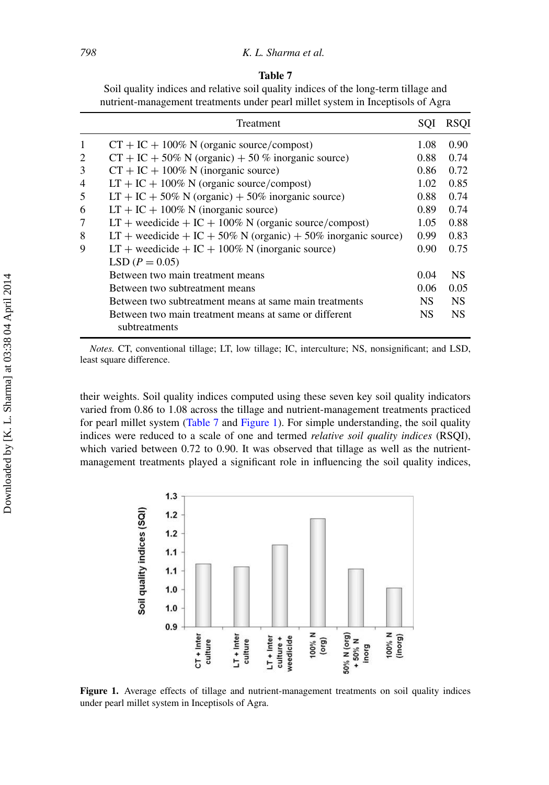<span id="page-15-0"></span>

| Η<br>ш |  |
|--------|--|
|--------|--|

| Soil quality indices and relative soil quality indices of the long-term tillage and |  |
|-------------------------------------------------------------------------------------|--|
| nutrient-management treatments under pearl millet system in Inceptisols of Agra     |  |

|   | Treatment                                                              | SOI               | <b>RSOI</b> |
|---|------------------------------------------------------------------------|-------------------|-------------|
| 1 | $CT + IC + 100\%$ N (organic source/compost)                           | 1.08              | 0.90        |
| 2 | $CT + IC + 50\% N$ (organic) + 50 % inorganic source)                  | 0.88              | 0.74        |
| 3 | $CT + IC + 100\%$ N (inorganic source)                                 | 0.86              | 0.72        |
| 4 | $LT + IC + 100\%$ N (organic source/compost)                           | 1.02              | 0.85        |
| 5 | $LT + IC + 50\% N$ (organic) + 50% inorganic source)                   | 0.88              | 0.74        |
| 6 | $LT + IC + 100\%$ N (inorganic source)                                 | 0.89              | 0.74        |
| 7 | $LT +$ weedicide $+ IC + 100\%$ N (organic source/compost)             | 1.05              | 0.88        |
| 8 | LT + weedicide + IC + 50% N (organic) + 50% inorganic source)          | 0.99              | 0.83        |
| 9 | $LT +$ weedicide + $IC + 100\%$ N (inorganic source)                   | 0.90 <sub>1</sub> | 0.75        |
|   | LSD $(P = 0.05)$                                                       |                   |             |
|   | Between two main treatment means                                       | 0.04              | <b>NS</b>   |
|   | Between two subtreatment means                                         | 0.06              | 0.05        |
|   | Between two subtreatment means at same main treatments                 | NS.               | <b>NS</b>   |
|   | Between two main treatment means at same or different<br>subtreatments | NS.               | <b>NS</b>   |

*Notes.* CT, conventional tillage; LT, low tillage; IC, interculture; NS, nonsignificant; and LSD, least square difference.

their weights. Soil quality indices computed using these seven key soil quality indicators varied from 0.86 to 1.08 across the tillage and nutrient-management treatments practiced for pearl millet system [\(Table 7](#page-15-0) and [Figure 1\)](#page-15-1). For simple understanding, the soil quality indices were reduced to a scale of one and termed *relative soil quality indices* (RSQI), which varied between 0.72 to 0.90. It was observed that tillage as well as the nutrientmanagement treatments played a significant role in influencing the soil quality indices,

<span id="page-15-1"></span>

**Figure 1.** Average effects of tillage and nutrient-management treatments on soil quality indices under pearl millet system in Inceptisols of Agra.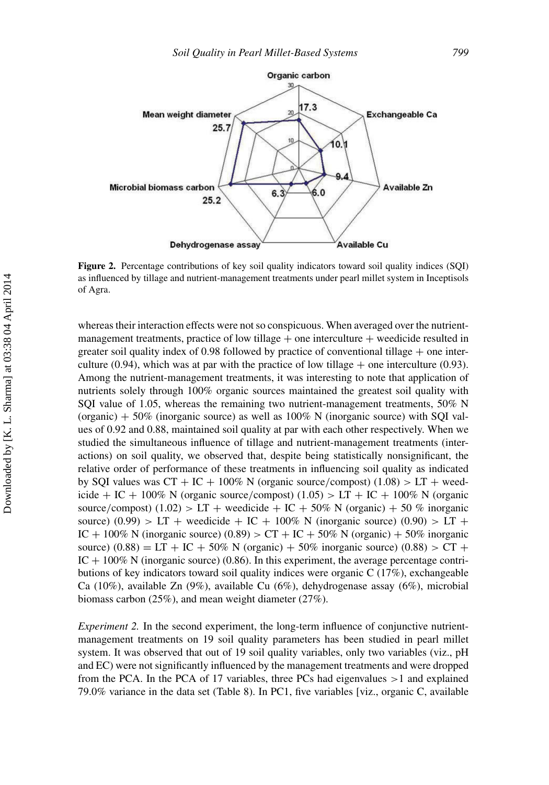

**Figure 2.** Percentage contributions of key soil quality indicators toward soil quality indices (SQI) as influenced by tillage and nutrient-management treatments under pearl millet system in Inceptisols of Agra.

whereas their interaction effects were not so conspicuous. When averaged over the nutrientmanagement treatments, practice of low tillage  $+$  one interculture  $+$  weedicide resulted in greater soil quality index of 0.98 followed by practice of conventional tillage  $+$  one interculture (0.94), which was at par with the practice of low tillage  $+$  one interculture (0.93). Among the nutrient-management treatments, it was interesting to note that application of nutrients solely through 100% organic sources maintained the greatest soil quality with SQI value of 1.05, whereas the remaining two nutrient-management treatments, 50% N (organic)  $+50\%$  (inorganic source) as well as 100% N (inorganic source) with SQI values of 0.92 and 0.88, maintained soil quality at par with each other respectively. When we studied the simultaneous influence of tillage and nutrient-management treatments (interactions) on soil quality, we observed that, despite being statistically nonsignificant, the relative order of performance of these treatments in influencing soil quality as indicated by SQI values was  $CT + IC + 100\%$  N (organic source/compost) (1.08) > LT + weedicide + IC + 100% N (organic source/compost) (1.05) > LT + IC + 100% N (organic source/compost) (1.02) > LT + weedicide + IC + 50% N (organic) + 50 % inorganic source)  $(0.99) > LT +$  weedicide + IC + 100% N (inorganic source)  $(0.90) > LT +$ IC + 100% N (inorganic source)  $(0.89) > CT + IC + 50%$  N (organic) + 50% inorganic source)  $(0.88) = LT + IC + 50\% N$  (organic) + 50% inorganic source)  $(0.88) > CT +$  $IC + 100\%$  N (inorganic source) (0.86). In this experiment, the average percentage contributions of key indicators toward soil quality indices were organic C (17%), exchangeable Ca (10%), available Zn (9%), available Cu (6%), dehydrogenase assay (6%), microbial biomass carbon (25%), and mean weight diameter (27%).

*Experiment 2.* In the second experiment, the long-term influence of conjunctive nutrientmanagement treatments on 19 soil quality parameters has been studied in pearl millet system. It was observed that out of 19 soil quality variables, only two variables (viz., pH and EC) were not significantly influenced by the management treatments and were dropped from the PCA. In the PCA of 17 variables, three PCs had eigenvalues  $>1$  and explained 79.0% variance in the data set (Table 8). In PC1, five variables [viz., organic C, available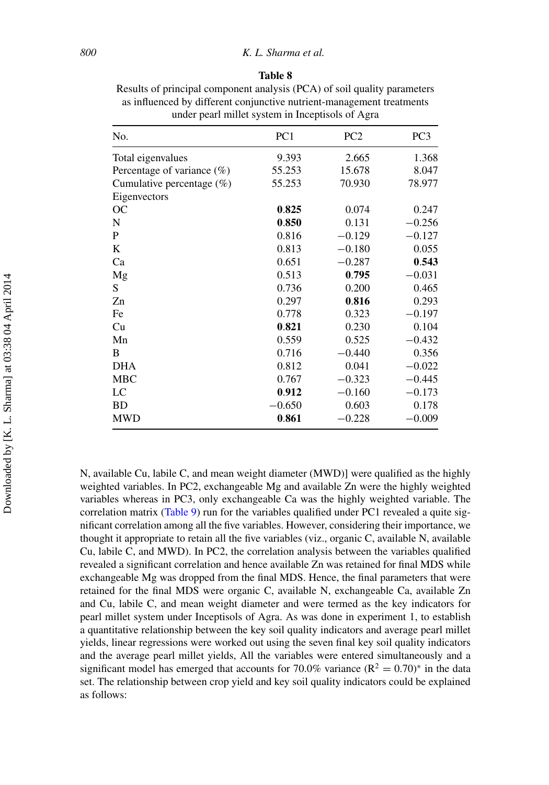| anıe |  |
|------|--|
|------|--|

Results of principal component analysis (PCA) of soil quality parameters as influenced by different conjunctive nutrient-management treatments under pearl millet system in Inceptisols of Agra

| No.                           | PC <sub>1</sub> | PC <sub>2</sub> | PC <sub>3</sub> |
|-------------------------------|-----------------|-----------------|-----------------|
| Total eigenvalues             | 9.393           | 2.665           | 1.368           |
| Percentage of variance $(\%)$ | 55.253          | 15.678          | 8.047           |
| Cumulative percentage $(\%)$  | 55.253          | 70.930          | 78.977          |
| Eigenvectors                  |                 |                 |                 |
| OC                            | 0.825           | 0.074           | 0.247           |
| N                             | 0.850           | 0.131           | $-0.256$        |
| P                             | 0.816           | $-0.129$        | $-0.127$        |
| K                             | 0.813           | $-0.180$        | 0.055           |
| Ca                            | 0.651           | $-0.287$        | 0.543           |
| Mg                            | 0.513           | 0.795           | $-0.031$        |
| S                             | 0.736           | 0.200           | 0.465           |
| Zn                            | 0.297           | 0.816           | 0.293           |
| Fe                            | 0.778           | 0.323           | $-0.197$        |
| Cu                            | 0.821           | 0.230           | 0.104           |
| Mn                            | 0.559           | 0.525           | $-0.432$        |
| B                             | 0.716           | $-0.440$        | 0.356           |
| <b>DHA</b>                    | 0.812           | 0.041           | $-0.022$        |
| <b>MBC</b>                    | 0.767           | $-0.323$        | $-0.445$        |
| LC                            | 0.912           | $-0.160$        | $-0.173$        |
| <b>BD</b>                     | $-0.650$        | 0.603           | 0.178           |
| <b>MWD</b>                    | 0.861           | $-0.228$        | $-0.009$        |

N, available Cu, labile C, and mean weight diameter (MWD)] were qualified as the highly weighted variables. In PC2, exchangeable Mg and available Zn were the highly weighted variables whereas in PC3, only exchangeable Ca was the highly weighted variable. The correlation matrix [\(Table 9\)](#page-18-0) run for the variables qualified under PC1 revealed a quite significant correlation among all the five variables. However, considering their importance, we thought it appropriate to retain all the five variables (viz., organic C, available N, available Cu, labile C, and MWD). In PC2, the correlation analysis between the variables qualified revealed a significant correlation and hence available Zn was retained for final MDS while exchangeable Mg was dropped from the final MDS. Hence, the final parameters that were retained for the final MDS were organic C, available N, exchangeable Ca, available Zn and Cu, labile C, and mean weight diameter and were termed as the key indicators for pearl millet system under Inceptisols of Agra. As was done in experiment 1, to establish a quantitative relationship between the key soil quality indicators and average pearl millet yields, linear regressions were worked out using the seven final key soil quality indicators and the average pearl millet yields, All the variables were entered simultaneously and a significant model has emerged that accounts for 70.0% variance ( $\mathbb{R}^2 = 0.70$ )<sup>\*</sup> in the data set. The relationship between crop yield and key soil quality indicators could be explained as follows: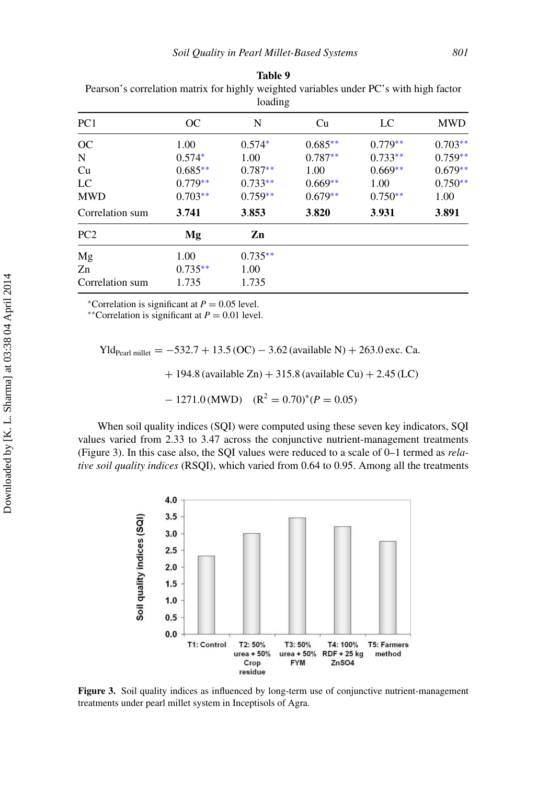| roading         |           |           |           |           |            |  |  |  |
|-----------------|-----------|-----------|-----------|-----------|------------|--|--|--|
| PC <sub>1</sub> | OC        | N         | Cu        | LC        | <b>MWD</b> |  |  |  |
| OC              | 1.00      | $0.574*$  | $0.685**$ | $0.779**$ | $0.703**$  |  |  |  |
| N               | $0.574*$  | 1.00      | $0.787**$ | $0.733**$ | $0.759**$  |  |  |  |
| Cu              | $0.685**$ | $0.787**$ | 1.00      | $0.669**$ | $0.679**$  |  |  |  |
| LC              | $0.779**$ | $0.733**$ | $0.669**$ | 1.00      | $0.750**$  |  |  |  |
| <b>MWD</b>      | $0.703**$ | $0.759**$ | $0.679**$ | $0.750**$ | 1.00       |  |  |  |
| Correlation sum | 3.741     | 3.853     | 3.820     | 3.931     | 3.891      |  |  |  |
| PC <sub>2</sub> | Mg        | Zn        |           |           |            |  |  |  |
| Mg              | 1.00      | $0.735**$ |           |           |            |  |  |  |
| Zn              | $0.735**$ | 1.00      |           |           |            |  |  |  |
| Correlation sum | 1.735     | 1.735     |           |           |            |  |  |  |

<span id="page-18-0"></span>**Table 9** Pearson's correlation matrix for highly weighted variables under PC's with high factor loading

<sup>∗</sup>Correlation is significant at  $P = 0.05$  level. <sup>∗</sup>\*Correlation is significant at  $P = 0.01$  level.

Yld<sub>Pearl millet</sub> = 
$$
-532.7 + 13.5
$$
 (OC)  $- 3.62$  (available N) + 263.0 exc. Ca.

 $+ 194.8$  (available Zn)  $+ 315.8$  (available Cu)  $+ 2.45$  (LC)

$$
- 1271.0 \, (\text{MWD}) \quad (\text{R}^2 = 0.70)^* (P = 0.05)
$$

When soil quality indices (SQI) were computed using these seven key indicators, SQI values varied from 2.33 to 3.47 across the conjunctive nutrient-management treatments (Figure 3). In this case also, the SQI values were reduced to a scale of 0–1 termed as *relative soil quality indices* (RSQI), which varied from 0.64 to 0.95. Among all the treatments



**Figure 3.** Soil quality indices as influenced by long-term use of conjunctive nutrient-management treatments under pearl millet system in Inceptisols of Agra.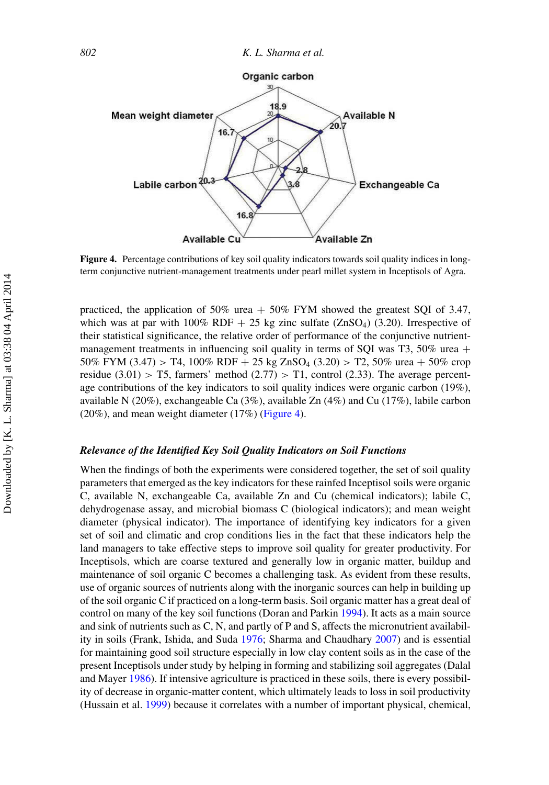<span id="page-19-0"></span>

**Figure 4.** Percentage contributions of key soil quality indicators towards soil quality indices in longterm conjunctive nutrient-management treatments under pearl millet system in Inceptisols of Agra.

practiced, the application of 50% urea  $+$  50% FYM showed the greatest SQI of 3.47, which was at par with  $100\%$  RDF + 25 kg zinc sulfate (ZnSO<sub>4</sub>) (3.20). Irrespective of their statistical significance, the relative order of performance of the conjunctive nutrientmanagement treatments in influencing soil quality in terms of SQI was T3,  $50\%$  urea + 50% FYM (3.47) > T4, 100% RDF + 25 kg ZnSO<sub>4</sub> (3.20) > T2, 50% urea + 50% crop residue (3.01) > T5, farmers' method (2.77) > T1, control (2.33). The average percentage contributions of the key indicators to soil quality indices were organic carbon (19%), available N (20%), exchangeable Ca (3%), available Zn (4%) and Cu (17%), labile carbon (20%), and mean weight diameter (17%) [\(Figure 4\)](#page-19-0).

### *Relevance of the Identified Key Soil Quality Indicators on Soil Functions*

When the findings of both the experiments were considered together, the set of soil quality parameters that emerged as the key indicators for these rainfed Inceptisol soils were organic C, available N, exchangeable Ca, available Zn and Cu (chemical indicators); labile C, dehydrogenase assay, and microbial biomass C (biological indicators); and mean weight diameter (physical indicator). The importance of identifying key indicators for a given set of soil and climatic and crop conditions lies in the fact that these indicators help the land managers to take effective steps to improve soil quality for greater productivity. For Inceptisols, which are coarse textured and generally low in organic matter, buildup and maintenance of soil organic C becomes a challenging task. As evident from these results, use of organic sources of nutrients along with the inorganic sources can help in building up of the soil organic C if practiced on a long-term basis. Soil organic matter has a great deal of control on many of the key soil functions (Doran and Parkin [1994\)](#page-24-12). It acts as a main source and sink of nutrients such as C, N, and partly of P and S, affects the micronutrient availability in soils (Frank, Ishida, and Suda [1976;](#page-24-14) Sharma and Chaudhary [2007\)](#page-25-1) and is essential for maintaining good soil structure especially in low clay content soils as in the case of the present Inceptisols under study by helping in forming and stabilizing soil aggregates (Dalal and Mayer [1986\)](#page-23-9). If intensive agriculture is practiced in these soils, there is every possibility of decrease in organic-matter content, which ultimately leads to loss in soil productivity (Hussain et al. [1999\)](#page-24-15) because it correlates with a number of important physical, chemical,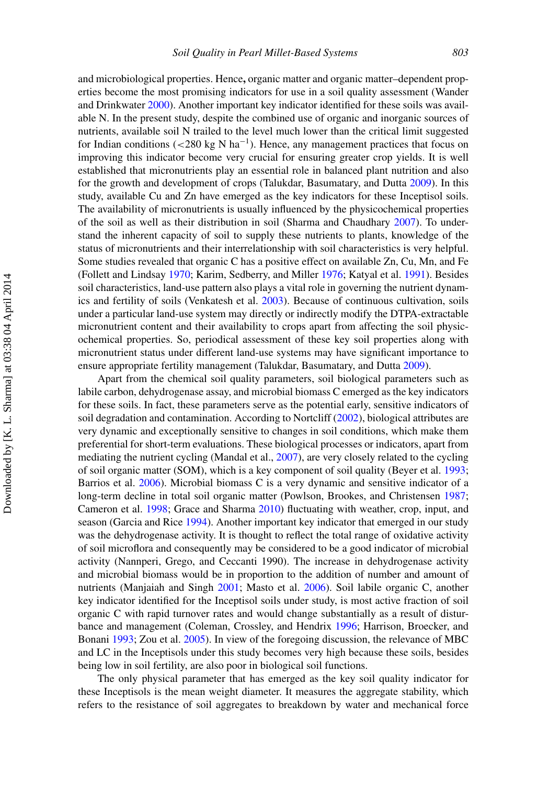and microbiological properties. Hence**,** organic matter and organic matter–dependent properties become the most promising indicators for use in a soil quality assessment (Wander and Drinkwater [2000\)](#page-26-11). Another important key indicator identified for these soils was available N. In the present study, despite the combined use of organic and inorganic sources of nutrients, available soil N trailed to the level much lower than the critical limit suggested for Indian conditions ( $\langle 280 \text{ kg N} \text{ ha}^{-1} \rangle$ ). Hence, any management practices that focus on improving this indicator become very crucial for ensuring greater crop yields. It is well established that micronutrients play an essential role in balanced plant nutrition and also for the growth and development of crops (Talukdar, Basumatary, and Dutta [2009\)](#page-26-12). In this study, available Cu and Zn have emerged as the key indicators for these Inceptisol soils. The availability of micronutrients is usually influenced by the physicochemical properties of the soil as well as their distribution in soil (Sharma and Chaudhary [2007\)](#page-25-1). To understand the inherent capacity of soil to supply these nutrients to plants, knowledge of the status of micronutrients and their interrelationship with soil characteristics is very helpful. Some studies revealed that organic C has a positive effect on available Zn, Cu, Mn, and Fe (Follett and Lindsay [1970;](#page-24-16) Karim, Sedberry, and Miller [1976;](#page-24-17) Katyal et al. [1991\)](#page-24-18). Besides soil characteristics, land-use pattern also plays a vital role in governing the nutrient dynamics and fertility of soils (Venkatesh et al. [2003\)](#page-26-13). Because of continuous cultivation, soils under a particular land-use system may directly or indirectly modify the DTPA-extractable micronutrient content and their availability to crops apart from affecting the soil physicochemical properties. So, periodical assessment of these key soil properties along with micronutrient status under different land-use systems may have significant importance to ensure appropriate fertility management (Talukdar, Basumatary, and Dutta [2009\)](#page-26-12).

Apart from the chemical soil quality parameters, soil biological parameters such as labile carbon, dehydrogenase assay, and microbial biomass C emerged as the key indicators for these soils. In fact, these parameters serve as the potential early, sensitive indicators of soil degradation and contamination. According to Nortcliff [\(2002\)](#page-25-11), biological attributes are very dynamic and exceptionally sensitive to changes in soil conditions, which make them preferential for short-term evaluations. These biological processes or indicators, apart from mediating the nutrient cycling (Mandal et al., [2007\)](#page-24-4), are very closely related to the cycling of soil organic matter (SOM), which is a key component of soil quality (Beyer et al. [1993;](#page-23-10) Barrios et al. [2006\)](#page-23-11). Microbial biomass C is a very dynamic and sensitive indicator of a long-term decline in total soil organic matter (Powlson, Brookes, and Christensen [1987;](#page-25-12) Cameron et al. [1998;](#page-23-12) Grace and Sharma [2010\)](#page-24-19) fluctuating with weather, crop, input, and season (Garcia and Rice [1994\)](#page-24-20). Another important key indicator that emerged in our study was the dehydrogenase activity. It is thought to reflect the total range of oxidative activity of soil microflora and consequently may be considered to be a good indicator of microbial activity (Nannperi, Grego, and Ceccanti 1990). The increase in dehydrogenase activity and microbial biomass would be in proportion to the addition of number and amount of nutrients (Manjaiah and Singh [2001;](#page-24-21) Masto et al. [2006\)](#page-25-13). Soil labile organic C, another key indicator identified for the Inceptisol soils under study, is most active fraction of soil organic C with rapid turnover rates and would change substantially as a result of disturbance and management (Coleman, Crossley, and Hendrix [1996;](#page-23-13) Harrison, Broecker, and Bonani [1993;](#page-24-22) Zou et al. [2005\)](#page-26-10). In view of the foregoing discussion, the relevance of MBC and LC in the Inceptisols under this study becomes very high because these soils, besides being low in soil fertility, are also poor in biological soil functions.

The only physical parameter that has emerged as the key soil quality indicator for these Inceptisols is the mean weight diameter. It measures the aggregate stability, which refers to the resistance of soil aggregates to breakdown by water and mechanical force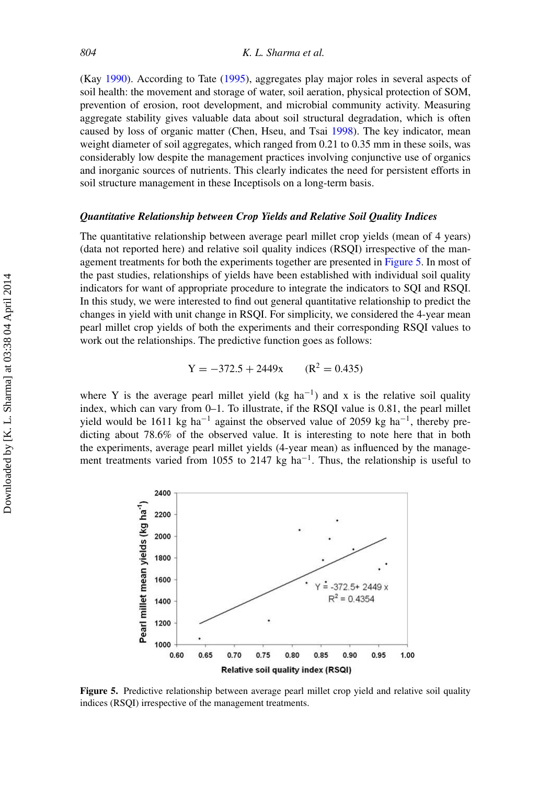(Kay [1990\)](#page-24-23). According to Tate [\(1995\)](#page-26-14), aggregates play major roles in several aspects of soil health: the movement and storage of water, soil aeration, physical protection of SOM, prevention of erosion, root development, and microbial community activity. Measuring aggregate stability gives valuable data about soil structural degradation, which is often caused by loss of organic matter (Chen, Hseu, and Tsai [1998\)](#page-23-14). The key indicator, mean weight diameter of soil aggregates, which ranged from 0.21 to 0.35 mm in these soils, was considerably low despite the management practices involving conjunctive use of organics and inorganic sources of nutrients. This clearly indicates the need for persistent efforts in soil structure management in these Inceptisols on a long-term basis.

#### *Quantitative Relationship between Crop Yields and Relative Soil Quality Indices*

The quantitative relationship between average pearl millet crop yields (mean of 4 years) (data not reported here) and relative soil quality indices (RSQI) irrespective of the management treatments for both the experiments together are presented in [Figure 5.](#page-21-0) In most of the past studies, relationships of yields have been established with individual soil quality indicators for want of appropriate procedure to integrate the indicators to SQI and RSQI. In this study, we were interested to find out general quantitative relationship to predict the changes in yield with unit change in RSQI. For simplicity, we considered the 4-year mean pearl millet crop yields of both the experiments and their corresponding RSQI values to work out the relationships. The predictive function goes as follows:

$$
Y = -372.5 + 2449x \qquad (R^2 = 0.435)
$$

where Y is the average pearl millet yield (kg ha<sup>-1</sup>) and x is the relative soil quality index, which can vary from 0–1. To illustrate, if the RSQI value is 0.81, the pearl millet yield would be 1611 kg ha<sup>-1</sup> against the observed value of 2059 kg ha<sup>-1</sup>, thereby predicting about 78.6% of the observed value. It is interesting to note here that in both the experiments, average pearl millet yields (4-year mean) as influenced by the management treatments varied from 1055 to 2147 kg ha<sup>-1</sup>. Thus, the relationship is useful to

<span id="page-21-0"></span>

**Figure 5.** Predictive relationship between average pearl millet crop yield and relative soil quality indices (RSQI) irrespective of the management treatments.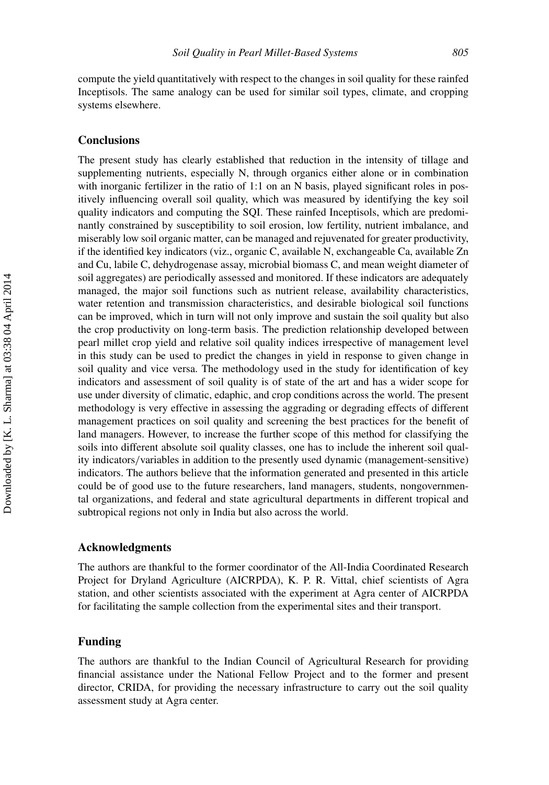compute the yield quantitatively with respect to the changes in soil quality for these rainfed Inceptisols. The same analogy can be used for similar soil types, climate, and cropping systems elsewhere.

# **Conclusions**

The present study has clearly established that reduction in the intensity of tillage and supplementing nutrients, especially N, through organics either alone or in combination with inorganic fertilizer in the ratio of 1:1 on an N basis, played significant roles in positively influencing overall soil quality, which was measured by identifying the key soil quality indicators and computing the SQI. These rainfed Inceptisols, which are predominantly constrained by susceptibility to soil erosion, low fertility, nutrient imbalance, and miserably low soil organic matter, can be managed and rejuvenated for greater productivity, if the identified key indicators (viz., organic C, available N, exchangeable Ca, available Zn and Cu, labile C, dehydrogenase assay, microbial biomass C, and mean weight diameter of soil aggregates) are periodically assessed and monitored. If these indicators are adequately managed, the major soil functions such as nutrient release, availability characteristics, water retention and transmission characteristics, and desirable biological soil functions can be improved, which in turn will not only improve and sustain the soil quality but also the crop productivity on long-term basis. The prediction relationship developed between pearl millet crop yield and relative soil quality indices irrespective of management level in this study can be used to predict the changes in yield in response to given change in soil quality and vice versa. The methodology used in the study for identification of key indicators and assessment of soil quality is of state of the art and has a wider scope for use under diversity of climatic, edaphic, and crop conditions across the world. The present methodology is very effective in assessing the aggrading or degrading effects of different management practices on soil quality and screening the best practices for the benefit of land managers. However, to increase the further scope of this method for classifying the soils into different absolute soil quality classes, one has to include the inherent soil quality indicators/variables in addition to the presently used dynamic (management-sensitive) indicators. The authors believe that the information generated and presented in this article could be of good use to the future researchers, land managers, students, nongovernmental organizations, and federal and state agricultural departments in different tropical and subtropical regions not only in India but also across the world.

#### **Acknowledgments**

The authors are thankful to the former coordinator of the All-India Coordinated Research Project for Dryland Agriculture (AICRPDA), K. P. R. Vittal, chief scientists of Agra station, and other scientists associated with the experiment at Agra center of AICRPDA for facilitating the sample collection from the experimental sites and their transport.

# **Funding**

The authors are thankful to the Indian Council of Agricultural Research for providing financial assistance under the National Fellow Project and to the former and present director, CRIDA, for providing the necessary infrastructure to carry out the soil quality assessment study at Agra center.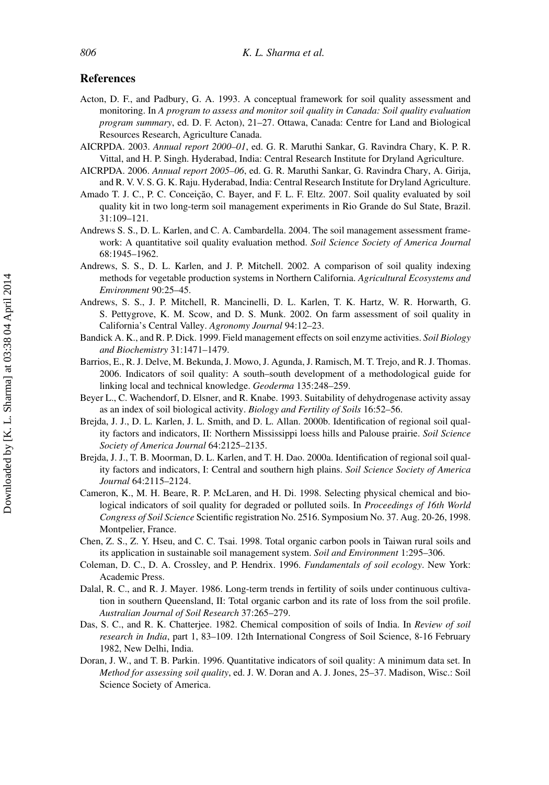# **References**

- <span id="page-23-5"></span>Acton, D. F., and Padbury, G. A. 1993. A conceptual framework for soil quality assessment and monitoring. In *A program to assess and monitor soil quality in Canada: Soil quality evaluation program summary*, ed. D. F. Acton), 21–27. Ottawa, Canada: Centre for Land and Biological Resources Research, Agriculture Canada.
- <span id="page-23-0"></span>AICRPDA. 2003. *Annual report 2000–01*, ed. G. R. Maruthi Sankar, G. Ravindra Chary, K. P. R. Vittal, and H. P. Singh. Hyderabad, India: Central Research Institute for Dryland Agriculture.
- <span id="page-23-6"></span>AICRPDA. 2006. *Annual report 2005–06*, ed. G. R. Maruthi Sankar, G. Ravindra Chary, A. Girija, and R. V. V. S. G. K. Raju. Hyderabad, India: Central Research Institute for Dryland Agriculture.
- <span id="page-23-2"></span>Amado T. J. C., P. C. Conceição, C. Bayer, and F. L. F. Eltz. 2007. Soil quality evaluated by soil quality kit in two long-term soil management experiments in Rio Grande do Sul State, Brazil. 31:109–121.
- <span id="page-23-3"></span>Andrews S. S., D. L. Karlen, and C. A. Cambardella. 2004. The soil management assessment framework: A quantitative soil quality evaluation method. *Soil Science Society of America Journal* 68:1945–1962.
- Andrews, S. S., D. L. Karlen, and J. P. Mitchell. 2002. A comparison of soil quality indexing methods for vegetable production systems in Northern California. *Agricultural Ecosystems and Environment* 90:25–45.
- <span id="page-23-7"></span>Andrews, S. S., J. P. Mitchell, R. Mancinelli, D. L. Karlen, T. K. Hartz, W. R. Horwarth, G. S. Pettygrove, K. M. Scow, and D. S. Munk. 2002. On farm assessment of soil quality in California's Central Valley. *Agronomy Journal* 94:12–23.
- <span id="page-23-8"></span>Bandick A. K., and R. P. Dick. 1999. Field management effects on soil enzyme activities. *Soil Biology and Biochemistry* 31:1471–1479.
- <span id="page-23-11"></span>Barrios, E., R. J. Delve, M. Bekunda, J. Mowo, J. Agunda, J. Ramisch, M. T. Trejo, and R. J. Thomas. 2006. Indicators of soil quality: A south–south development of a methodological guide for linking local and technical knowledge. *Geoderma* 135:248–259.
- <span id="page-23-10"></span>Beyer L., C. Wachendorf, D. Elsner, and R. Knabe. 1993. Suitability of dehydrogenase activity assay as an index of soil biological activity. *Biology and Fertility of Soils* 16:52–56.
- Brejda, J. J., D. L. Karlen, J. L. Smith, and D. L. Allan. 2000b. Identification of regional soil quality factors and indicators, II: Northern Mississippi loess hills and Palouse prairie. *Soil Science Society of America Journal* 64:2125–2135.
- Brejda, J. J., T. B. Moorman, D. L. Karlen, and T. H. Dao. 2000a. Identification of regional soil quality factors and indicators, I: Central and southern high plains. *Soil Science Society of America Journal* 64:2115–2124.
- <span id="page-23-12"></span>Cameron, K., M. H. Beare, R. P. McLaren, and H. Di. 1998. Selecting physical chemical and biological indicators of soil quality for degraded or polluted soils. In *Proceedings of 16th World Congress of Soil Science* Scientific registration No. 2516. Symposium No. 37. Aug. 20-26, 1998. Montpelier, France.
- <span id="page-23-14"></span>Chen, Z. S., Z. Y. Hseu, and C. C. Tsai. 1998. Total organic carbon pools in Taiwan rural soils and its application in sustainable soil management system. *Soil and Environment* 1:295–306.
- <span id="page-23-13"></span>Coleman, D. C., D. A. Crossley, and P. Hendrix. 1996. *Fundamentals of soil ecology*. New York: Academic Press.
- <span id="page-23-9"></span>Dalal, R. C., and R. J. Mayer. 1986. Long-term trends in fertility of soils under continuous cultivation in southern Queensland, II: Total organic carbon and its rate of loss from the soil profile. *Australian Journal of Soil Research* 37:265–279.
- <span id="page-23-1"></span>Das, S. C., and R. K. Chatterjee. 1982. Chemical composition of soils of India. In *Review of soil research in India*, part 1, 83–109. 12th International Congress of Soil Science, 8-16 February 1982, New Delhi, India.
- <span id="page-23-4"></span>Doran, J. W., and T. B. Parkin. 1996. Quantitative indicators of soil quality: A minimum data set. In *Method for assessing soil quality*, ed. J. W. Doran and A. J. Jones, 25–37. Madison, Wisc.: Soil Science Society of America.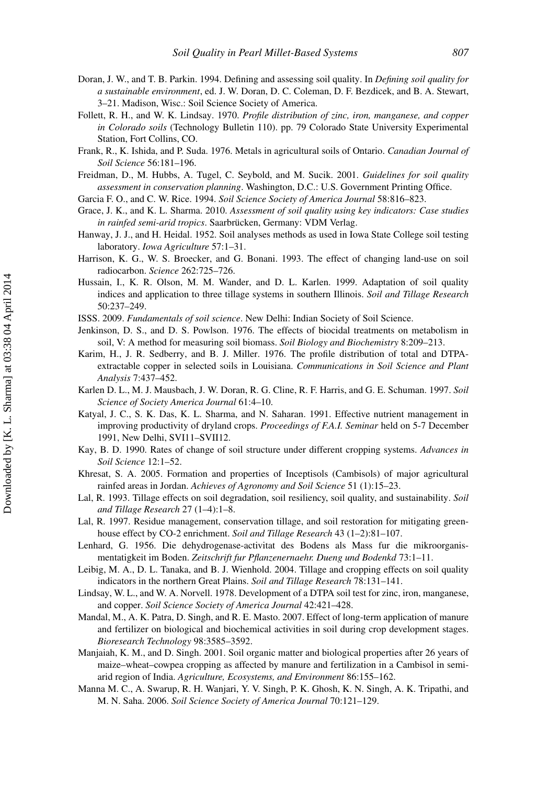- <span id="page-24-12"></span>Doran, J. W., and T. B. Parkin. 1994. Defining and assessing soil quality. In *Defining soil quality for a sustainable environment*, ed. J. W. Doran, D. C. Coleman, D. F. Bezdicek, and B. A. Stewart, 3–21. Madison, Wisc.: Soil Science Society of America.
- <span id="page-24-16"></span>Follett, R. H., and W. K. Lindsay. 1970. *Profile distribution of zinc, iron, manganese, and copper in Colorado soils* (Technology Bulletin 110). pp. 79 Colorado State University Experimental Station, Fort Collins, CO.
- <span id="page-24-14"></span>Frank, R., K. Ishida, and P. Suda. 1976. Metals in agricultural soils of Ontario. *Canadian Journal of Soil Science* 56:181–196.
- <span id="page-24-5"></span>Freidman, D., M. Hubbs, A. Tugel, C. Seybold, and M. Sucik. 2001. *Guidelines for soil quality assessment in conservation planning*. Washington, D.C.: U.S. Government Printing Office.
- <span id="page-24-20"></span>Garcia F. O., and C. W. Rice. 1994. *Soil Science Society of America Journal* 58:816–823.
- <span id="page-24-19"></span>Grace, J. K., and K. L. Sharma. 2010. *Assessment of soil quality using key indicators: Case studies in rainfed semi-arid tropics*. Saarbrücken, Germany: VDM Verlag.
- <span id="page-24-8"></span>Hanway, J. J., and H. Heidal. 1952. Soil analyses methods as used in Iowa State College soil testing laboratory. *Iowa Agriculture* 57:1–31.
- <span id="page-24-22"></span>Harrison, K. G., W. S. Broecker, and G. Bonani. 1993. The effect of changing land-use on soil radiocarbon. *Science* 262:725–726.
- <span id="page-24-15"></span>Hussain, I., K. R. Olson, M. M. Wander, and D. L. Karlen. 1999. Adaptation of soil quality indices and application to three tillage systems in southern Illinois. *Soil and Tillage Research* 50:237–249.
- <span id="page-24-0"></span>ISSS. 2009. *Fundamentals of soil science*. New Delhi: Indian Society of Soil Science.
- <span id="page-24-10"></span>Jenkinson, D. S., and D. S. Powlson. 1976. The effects of biocidal treatments on metabolism in soil, V: A method for measuring soil biomass. *Soil Biology and Biochemistry* 8:209–213.
- <span id="page-24-17"></span>Karim, H., J. R. Sedberry, and B. J. Miller. 1976. The profile distribution of total and DTPAextractable copper in selected soils in Louisiana. *Communications in Soil Science and Plant Analysis* 7:437–452.
- <span id="page-24-6"></span>Karlen D. L., M. J. Mausbach, J. W. Doran, R. G. Cline, R. F. Harris, and G. E. Schuman. 1997. *Soil Science of Society America Journal* 61:4–10.
- <span id="page-24-18"></span>Katyal, J. C., S. K. Das, K. L. Sharma, and N. Saharan. 1991. Effective nutrient management in improving productivity of dryland crops. *Proceedings of F.A.I. Seminar* held on 5-7 December 1991, New Delhi, SVI11–SVII12.
- <span id="page-24-23"></span>Kay, B. D. 1990. Rates of change of soil structure under different cropping systems. *Advances in Soil Science* 12:1–52.
- <span id="page-24-13"></span>Khresat, S. A. 2005. Formation and properties of Inceptisols (Cambisols) of major agricultural rainfed areas in Jordan. *Achieves of Agronomy and Soil Science* 51 (1):15–23.
- <span id="page-24-2"></span>Lal, R. 1993. Tillage effects on soil degradation, soil resiliency, soil quality, and sustainability. *Soil and Tillage Research* 27 (1–4):1–8.
- <span id="page-24-3"></span>Lal, R. 1997. Residue management, conservation tillage, and soil restoration for mitigating greenhouse effect by CO-2 enrichment. *Soil and Tillage Research* 43 (1–2):81–107.
- <span id="page-24-11"></span>Lenhard, G. 1956. Die dehydrogenase-activitat des Bodens als Mass fur die mikroorganismentatigkeit im Boden. *Zeitschrift fur Pflanzenernaehr. Dueng und Bodenkd* 73:1–11.
- <span id="page-24-7"></span>Leibig, M. A., D. L. Tanaka, and B. J. Wienhold. 2004. Tillage and cropping effects on soil quality indicators in the northern Great Plains. *Soil and Tillage Research* 78:131–141.
- <span id="page-24-9"></span>Lindsay, W. L., and W. A. Norvell. 1978. Development of a DTPA soil test for zinc, iron, manganese, and copper. *Soil Science Society of America Journal* 42:421–428.
- <span id="page-24-4"></span>Mandal, M., A. K. Patra, D. Singh, and R. E. Masto. 2007. Effect of long-term application of manure and fertilizer on biological and biochemical activities in soil during crop development stages. *Bioresearch Technology* 98:3585–3592.
- <span id="page-24-21"></span>Manjaiah, K. M., and D. Singh. 2001. Soil organic matter and biological properties after 26 years of maize–wheat–cowpea cropping as affected by manure and fertilization in a Cambisol in semiarid region of India. *Agriculture, Ecosystems, and Environment* 86:155–162.
- <span id="page-24-1"></span>Manna M. C., A. Swarup, R. H. Wanjari, Y. V. Singh, P. K. Ghosh, K. N. Singh, A. K. Tripathi, and M. N. Saha. 2006. *Soil Science Society of America Journal* 70:121–129.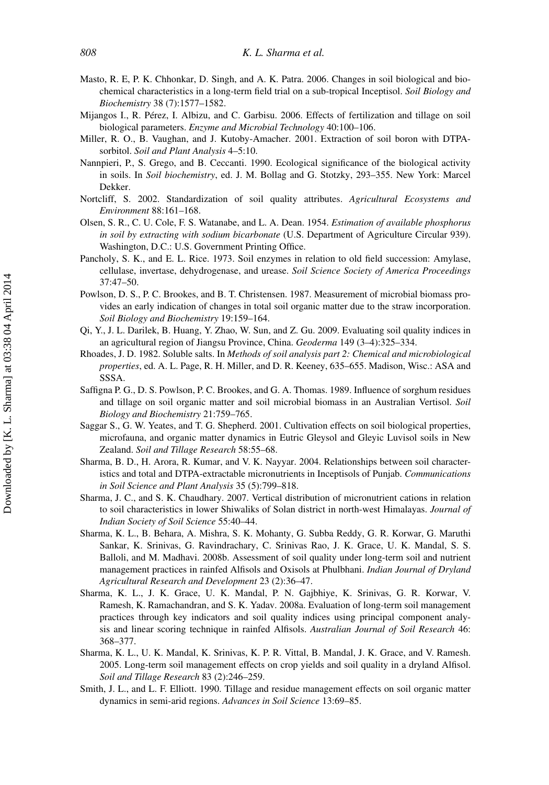- <span id="page-25-13"></span>Masto, R. E, P. K. Chhonkar, D. Singh, and A. K. Patra. 2006. Changes in soil biological and biochemical characteristics in a long-term field trial on a sub-tropical Inceptisol. *Soil Biology and Biochemistry* 38 (7):1577–1582.
- <span id="page-25-8"></span>Mijangos I., R. Pérez, I. Albizu, and C. Garbisu. 2006. Effects of fertilization and tillage on soil biological parameters. *Enzyme and Microbial Technology* 40:100–106.
- <span id="page-25-7"></span>Miller, R. O., B. Vaughan, and J. Kutoby-Amacher. 2001. Extraction of soil boron with DTPAsorbitol. *Soil and Plant Analysis* 4–5:10.
- Nannpieri, P., S. Grego, and B. Ceccanti. 1990. Ecological significance of the biological activity in soils. In *Soil biochemistry*, ed. J. M. Bollag and G. Stotzky, 293–355. New York: Marcel Dekker.
- <span id="page-25-11"></span>Nortcliff, S. 2002. Standardization of soil quality attributes. *Agricultural Ecosystems and Environment* 88:161–168.
- <span id="page-25-6"></span>Olsen, S. R., C. U. Cole, F. S. Watanabe, and L. A. Dean. 1954. *Estimation of available phosphorus in soil by extracting with sodium bicarbonate* (U.S. Department of Agriculture Circular 939). Washington, D.C.: U.S. Government Printing Office.
- <span id="page-25-10"></span>Pancholy, S. K., and E. L. Rice. 1973. Soil enzymes in relation to old field succession: Amylase, cellulase, invertase, dehydrogenase, and urease. *Soil Science Society of America Proceedings* 37:47–50.
- <span id="page-25-12"></span>Powlson, D. S., P. C. Brookes, and B. T. Christensen. 1987. Measurement of microbial biomass provides an early indication of changes in total soil organic matter due to the straw incorporation. *Soil Biology and Biochemistry* 19:159–164.
- <span id="page-25-3"></span>Qi, Y., J. L. Darilek, B. Huang, Y. Zhao, W. Sun, and Z. Gu. 2009. Evaluating soil quality indices in an agricultural region of Jiangsu Province, China. *Geoderma* 149 (3–4):325–334.
- <span id="page-25-5"></span>Rhoades, J. D. 1982. Soluble salts. In *Methods of soil analysis part 2: Chemical and microbiological properties*, ed. A. L. Page, R. H. Miller, and D. R. Keeney, 635–655. Madison, Wisc.: ASA and SSSA.
- <span id="page-25-9"></span>Saffigna P. G., D. S. Powlson, P. C. Brookes, and G. A. Thomas. 1989. Influence of sorghum residues and tillage on soil organic matter and soil microbial biomass in an Australian Vertisol. *Soil Biology and Biochemistry* 21:759–765.
- <span id="page-25-4"></span>Saggar S., G. W. Yeates, and T. G. Shepherd. 2001. Cultivation effects on soil biological properties, microfauna, and organic matter dynamics in Eutric Gleysol and Gleyic Luvisol soils in New Zealand. *Soil and Tillage Research* 58:55–68.
- <span id="page-25-0"></span>Sharma, B. D., H. Arora, R. Kumar, and V. K. Nayyar. 2004. Relationships between soil characteristics and total and DTPA-extractable micronutrients in Inceptisols of Punjab. *Communications in Soil Science and Plant Analysis* 35 (5):799–818.
- <span id="page-25-1"></span>Sharma, J. C., and S. K. Chaudhary. 2007. Vertical distribution of micronutrient cations in relation to soil characteristics in lower Shiwaliks of Solan district in north-west Himalayas. *Journal of Indian Society of Soil Science* 55:40–44.
- Sharma, K. L., B. Behara, A. Mishra, S. K. Mohanty, G. Subba Reddy, G. R. Korwar, G. Maruthi Sankar, K. Srinivas, G. Ravindrachary, C. Srinivas Rao, J. K. Grace, U. K. Mandal, S. S. Balloli, and M. Madhavi. 2008b. Assessment of soil quality under long-term soil and nutrient management practices in rainfed Alfisols and Oxisols at Phulbhani. *Indian Journal of Dryland Agricultural Research and Development* 23 (2):36–47.
- Sharma, K. L., J. K. Grace, U. K. Mandal, P. N. Gajbhiye, K. Srinivas, G. R. Korwar, V. Ramesh, K. Ramachandran, and S. K. Yadav. 2008a. Evaluation of long-term soil management practices through key indicators and soil quality indices using principal component analysis and linear scoring technique in rainfed Alfisols. *Australian Journal of Soil Research* 46: 368–377.
- Sharma, K. L., U. K. Mandal, K. Srinivas, K. P. R. Vittal, B. Mandal, J. K. Grace, and V. Ramesh. 2005. Long-term soil management effects on crop yields and soil quality in a dryland Alfisol. *Soil and Tillage Research* 83 (2):246–259.
- <span id="page-25-2"></span>Smith, J. L., and L. F. Elliott. 1990. Tillage and residue management effects on soil organic matter dynamics in semi-arid regions. *Advances in Soil Science* 13:69–85.